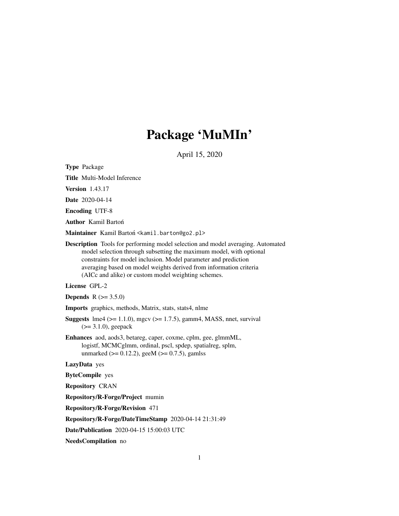# Package 'MuMIn'

April 15, 2020

<span id="page-0-0"></span>Type Package

Title Multi-Model Inference

Version 1.43.17

Date 2020-04-14

Encoding UTF-8

Author Kamil Bartoń

Maintainer Kamil Bartoń <kamil.barton@go2.pl>

Description Tools for performing model selection and model averaging. Automated model selection through subsetting the maximum model, with optional constraints for model inclusion. Model parameter and prediction averaging based on model weights derived from information criteria (AICc and alike) or custom model weighting schemes.

# License GPL-2

**Depends** R  $(>= 3.5.0)$ 

Imports graphics, methods, Matrix, stats, stats4, nlme

**Suggests**  $\text{Im}4$  ( $>= 1.1.0$ ), mgcv ( $>= 1.7.5$ ), gamm4, MASS, nnet, survival (>= 3.1.0), geepack

Enhances aod, aods3, betareg, caper, coxme, cplm, gee, glmmML, logistf, MCMCglmm, ordinal, pscl, spdep, spatialreg, splm, unmarked ( $>= 0.12.2$ ), geeM ( $>= 0.7.5$ ), gamlss

LazyData yes

ByteCompile yes

Repository CRAN

Repository/R-Forge/Project mumin

Repository/R-Forge/Revision 471

Repository/R-Forge/DateTimeStamp 2020-04-14 21:31:49

Date/Publication 2020-04-15 15:00:03 UTC

NeedsCompilation no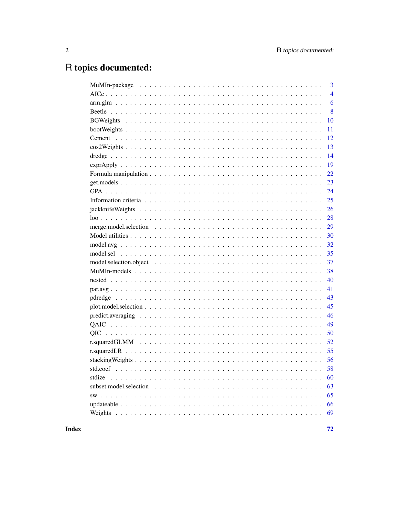# R topics documented:

|                                                                                                                 | 3              |
|-----------------------------------------------------------------------------------------------------------------|----------------|
|                                                                                                                 | $\overline{4}$ |
|                                                                                                                 | 6              |
|                                                                                                                 | 8              |
|                                                                                                                 | 10             |
|                                                                                                                 | 11             |
|                                                                                                                 | 12             |
|                                                                                                                 | 13             |
|                                                                                                                 | 14             |
|                                                                                                                 | 19             |
|                                                                                                                 | 22             |
|                                                                                                                 | 23             |
|                                                                                                                 | 24             |
|                                                                                                                 | 25             |
|                                                                                                                 | 26             |
|                                                                                                                 | 28             |
|                                                                                                                 | 29             |
|                                                                                                                 | 30             |
|                                                                                                                 | 32             |
|                                                                                                                 | 35             |
|                                                                                                                 | 37             |
|                                                                                                                 | 38             |
|                                                                                                                 | 40             |
|                                                                                                                 | 41             |
|                                                                                                                 | 43             |
|                                                                                                                 | 45             |
| $predict. averaging \ldots \ldots \ldots \ldots \ldots \ldots \ldots \ldots \ldots \ldots \ldots \ldots \ldots$ | 46             |
|                                                                                                                 | 49             |
|                                                                                                                 | 50             |
|                                                                                                                 | 52             |
|                                                                                                                 | 55             |
|                                                                                                                 | 56             |
|                                                                                                                 | 58             |
|                                                                                                                 | 60             |
|                                                                                                                 | 63             |
|                                                                                                                 | 65             |
|                                                                                                                 | 66             |
|                                                                                                                 | 69             |
|                                                                                                                 |                |

Index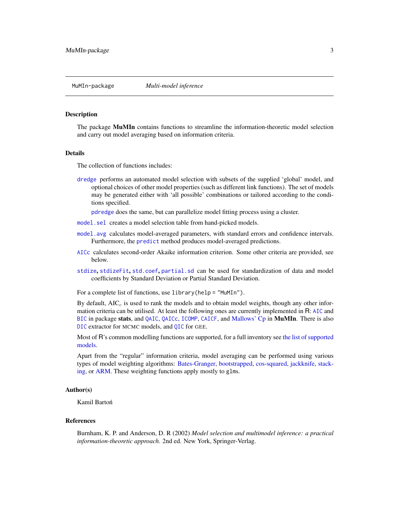<span id="page-2-0"></span>

# Description

The package MuMIn contains functions to streamline the information-theoretic model selection and carry out model averaging based on information criteria.

#### Details

The collection of functions includes:

[dredge](#page-13-1) performs an automated model selection with subsets of the supplied 'global' model, and optional choices of other model properties (such as different link functions). The set of models may be generated either with 'all possible' combinations or tailored according to the conditions specified.

[pdredge](#page-42-1) does the same, but can parallelize model fitting process using a cluster.

- [model.sel](#page-34-1) creates a model selection table from hand-picked models.
- [model.avg](#page-31-1) calculates model-averaged parameters, with standard errors and confidence intervals. Furthermore, the [predict](#page-45-1) method produces model-averaged predictions.
- [AICc](#page-3-1) calculates second-order Akaike information criterion. Some other criteria are provided, see below.
- [stdize](#page-59-1), [stdizeFit](#page-59-2), [std.coef](#page-57-1), [partial.sd](#page-57-2) can be used for standardization of data and model coefficients by Standard Deviation or Partial Standard Deviation.

For a complete list of functions, use library(help = "MuMIn").

By default,  $AIC_c$  is used to rank the models and to obtain model weights, though any other information criteria can be utilised. At least the following ones are currently implemented in R: [AIC](#page-0-0) and [BIC](#page-0-0) in package stats, and [QAIC](#page-48-1), [QAICc](#page-48-2), [ICOMP](#page-24-1), [CAICF](#page-24-1), and [Mallows' Cp](#page-24-1) in MuMIn. There is also [DIC](#page-24-1) extractor for MCMC models, and [QIC](#page-49-1) for GEE.

Most of R's common modelling functions are supported, for a full inventory see [the list of supported](#page-37-1) [models.](#page-37-1)

Apart from the "regular" information criteria, model averaging can be performed using various types of model weighting algorithms: [Bates-Granger,](#page-9-1) [bootstrapped,](#page-9-1) [cos-squared,](#page-12-1) [jackknife,](#page-25-1) [stack](#page-55-1)[ing,](#page-55-1) or [ARM.](#page-5-1) These weighting functions apply mostly to glms.

# Author(s)

Kamil Bartoń

#### References

Burnham, K. P. and Anderson, D. R (2002) *Model selection and multimodel inference: a practical information-theoretic approach*. 2nd ed. New York, Springer-Verlag.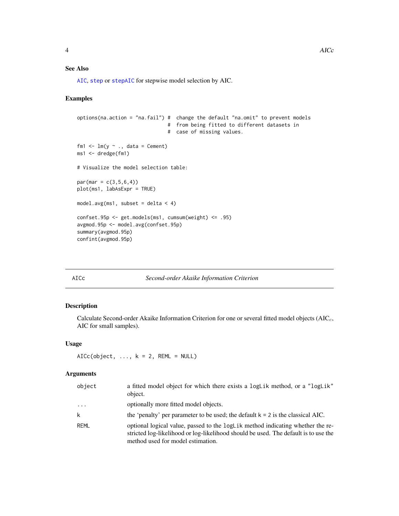# <span id="page-3-0"></span>See Also

[AIC](#page-0-0), [step](#page-0-0) or [stepAIC](#page-0-0) for stepwise model selection by AIC.

# Examples

```
options(na.action = "na.fail") # change the default "na.omit" to prevent models
                                # from being fitted to different datasets in
                                # case of missing values.
fm1 \leftarrow lm(y \sim ., data = Cement)
ms1 <- dredge(fm1)
# Visualize the model selection table:
par(max = c(3, 5, 6, 4))plot(ms1, labAsExpr = TRUE)
model.avg(ms1, subset = delta < 4)
confset.95p <- get.models(ms1, cumsum(weight) <= .95)
avgmod.95p <- model.avg(confset.95p)
summary(avgmod.95p)
confint(avgmod.95p)
```
#### <span id="page-3-1"></span>AICc *Second-order Akaike Information Criterion*

# Description

Calculate Second-order Akaike Information Criterion for one or several fitted model objects  $(AIC<sub>c</sub>,$ AIC for small samples).

# Usage

```
AICc(object, ..., k = 2, REML = NULL)
```
# Arguments

| object              | a fitted model object for which there exists a logLik method, or a "logLik"<br>object.                                                                                                                     |
|---------------------|------------------------------------------------------------------------------------------------------------------------------------------------------------------------------------------------------------|
| $\cdot \cdot \cdot$ | optionally more fitted model objects.                                                                                                                                                                      |
| k                   | the 'penalty' per parameter to be used; the default $k = 2$ is the classical AIC.                                                                                                                          |
| REML                | optional logical value, passed to the logLik method indicating whether the re-<br>stricted log-likelihood or log-likelihood should be used. The default is to use the<br>method used for model estimation. |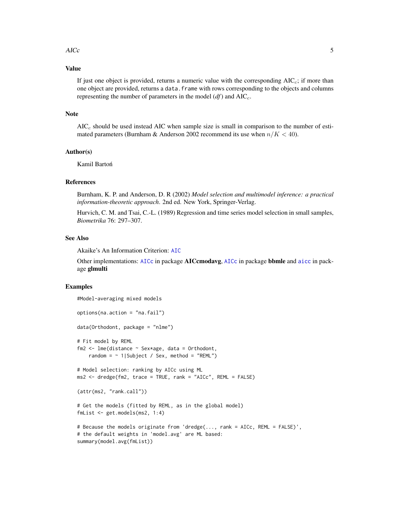#### $\angle$  AICc  $\frac{1}{2}$  5

# Value

If just one object is provided, returns a numeric value with the corresponding  $AIC_c$ ; if more than one object are provided, returns a data.frame with rows corresponding to the objects and columns representing the number of parameters in the model  $(df)$  and  $AIC_c$ .

# Note

 $AIC<sub>c</sub>$  should be used instead AIC when sample size is small in comparison to the number of estimated parameters (Burnham & Anderson 2002 recommend its use when  $n/K < 40$ ).

#### Author(s)

Kamil Bartoń

#### References

Burnham, K. P. and Anderson, D. R (2002) *Model selection and multimodel inference: a practical information-theoretic approach*. 2nd ed. New York, Springer-Verlag.

Hurvich, C. M. and Tsai, C.-L. (1989) Regression and time series model selection in small samples, *Biometrika* 76: 297–307.

#### See Also

Akaike's An Information Criterion: [AIC](#page-0-0)

Other implementations: [AICc](#page-3-1) in package **AICcmodavg**, AICc in package **bbmle** and [aicc](#page-0-0) in package glmulti

# Examples

```
#Model-averaging mixed models
options(na.action = "na.fail")
data(Orthodont, package = "nlme")
# Fit model by REML
fm2 \leq Im\left(distance \sim Sex*age, data = Orthodont,
    random = \sim 1|Subject / Sex, method = "REML")
# Model selection: ranking by AICc using ML
ms2 <- dredge(fm2, trace = TRUE, rank = "AICc", REML = FALSE)
(attr(ms2, "rank.call"))
# Get the models (fitted by REML, as in the global model)
fmList <- get.models(ms2, 1:4)
# Because the models originate from 'dredge(..., rank = AICc, REML = FALSE)',
# the default weights in 'model.avg' are ML based:
summary(model.avg(fmList))
```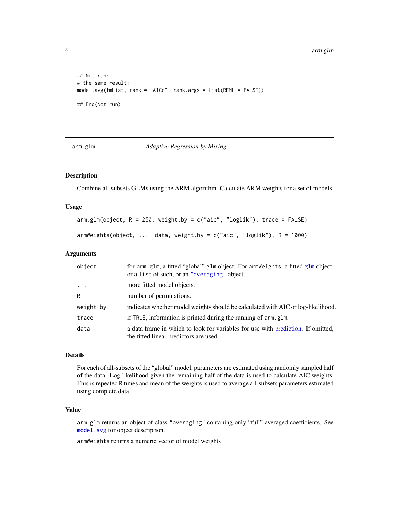```
## Not run:
# the same result:
model.avg(fmList, rank = "AICc", rank.args = list(REML = FALSE))
## End(Not run)
```
arm.glm *Adaptive Regression by Mixing*

# <span id="page-5-1"></span>Description

Combine all-subsets GLMs using the ARM algorithm. Calculate ARM weights for a set of models.

# Usage

```
arm.glm(object, R = 250, weight.by = c("aic", "loglik"), trace = FALSE)armWeights(object, ..., data, weight.by = c("aic", "loglik"), R = 1000)
```
# Arguments

| object    | for arm.glm, a fitted "global" glm object. For armWeights, a fitted glm object,<br>or a list of such, or an "averaging" object. |
|-----------|---------------------------------------------------------------------------------------------------------------------------------|
| .         | more fitted model objects.                                                                                                      |
| R         | number of permutations.                                                                                                         |
| weight.by | indicates whether model weights should be calculated with AIC or log-likelihood.                                                |
| trace     | if TRUE, information is printed during the running of arm.glm.                                                                  |
| data      | a data frame in which to look for variables for use with prediction. If omitted,<br>the fitted linear predictors are used.      |

# Details

For each of all-subsets of the "global" model, parameters are estimated using randomly sampled half of the data. Log-likelihood given the remaining half of the data is used to calculate AIC weights. This is repeated R times and mean of the weights is used to average all-subsets parameters estimated using complete data.

# Value

arm.glm returns an object of class "averaging" contaning only "full" averaged coefficients. See [model.avg](#page-31-1) for object description.

armWeights returns a numeric vector of model weights.

<span id="page-5-0"></span>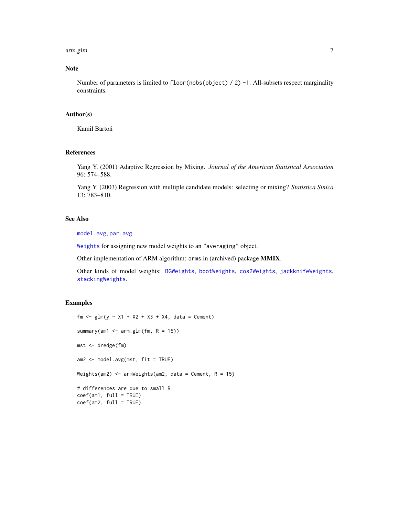#### arm.glm 7

# Note

Number of parameters is limited to floor(nobs(object) / 2) -1. All-subsets respect marginality constraints.

# Author(s)

Kamil Bartoń

# References

Yang Y. (2001) Adaptive Regression by Mixing. *Journal of the American Statistical Association* 96: 574–588.

Yang Y. (2003) Regression with multiple candidate models: selecting or mixing? *Statistica Sinica* 13: 783–810.

# See Also

[model.avg](#page-31-1), [par.avg](#page-40-1)

[Weights](#page-68-1) for assigning new model weights to an "averaging" object.

Other implementation of ARM algorithm: arms in (archived) package MMIX.

Other kinds of model weights: [BGWeights](#page-9-1), [bootWeights](#page-10-1), [cos2Weights](#page-12-1), [jackknifeWeights](#page-25-1), [stackingWeights](#page-55-1).

# Examples

```
fm <- glm(y - X1 + X2 + X3 + X4, data = Cement)
summary(am1 \leq arm.glm(fm, R = 15))
mst <- dredge(fm)
am2 <- model.avg(mst, fit = TRUE)
Weights(am2) \leq armWeights(am2, data = Cement, R = 15)
# differences are due to small R:
coef(am1, full = TRUE)coef(am2, full = TRUE)
```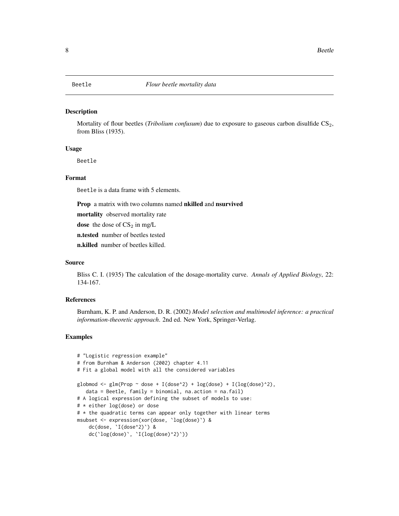# <span id="page-7-1"></span><span id="page-7-0"></span>Description

Mortality of flour beetles (*Tribolium confusum*) due to exposure to gaseous carbon disulfide CS<sub>2</sub>, from Bliss (1935).

# Usage

Beetle

#### Format

Beetle is a data frame with 5 elements.

Prop a matrix with two columns named nkilled and nsurvived

mortality observed mortality rate

dose the dose of  $CS_2$  in mg/L

n.tested number of beetles tested

n.killed number of beetles killed.

# Source

Bliss C. I. (1935) The calculation of the dosage-mortality curve. *Annals of Applied Biology*, 22: 134-167.

#### References

Burnham, K. P. and Anderson, D. R. (2002) *Model selection and multimodel inference: a practical information-theoretic approach*. 2nd ed. New York, Springer-Verlag.

# Examples

```
# "Logistic regression example"
# from Burnham & Anderson (2002) chapter 4.11
# Fit a global model with all the considered variables
globmod <- glm(Prop ~ dose + I(dose^2) + log(dose) + I(log(dose)^2),
  data = Beetle, family = binomial, na.action = na.fail)
# A logical expression defining the subset of models to use:
# * either log(dose) or dose
# * the quadratic terms can appear only together with linear terms
msubset <- expression(xor(dose, `log(dose)`) &
    dc(dose, `I(dose^2)`) &
   dc('log(dose)', 'I(log(dose)')')
```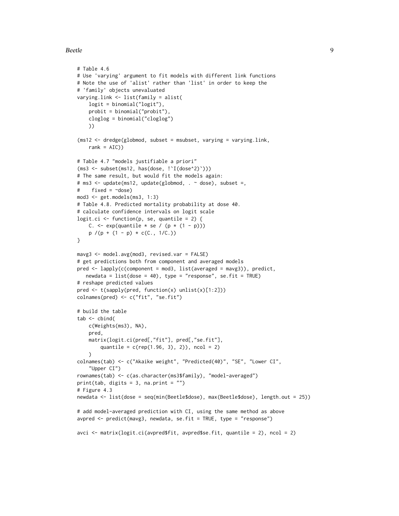#### Beetle **9**

```
# Table 4.6
# Use 'varying' argument to fit models with different link functions
# Note the use of 'alist' rather than 'list' in order to keep the
# 'family' objects unevaluated
varying.link <- list(family = alist(
    logit = binomial("logit"),
    probit = binomial("probit"),
   cloglog = binomial("cloglog")
   ))
(ms12 < - dredge(globmod, subset = msubset, varying = varying.link,rank = AIC)
# Table 4.7 "models justifiable a priori"
(ms3 <- subset(ms12, has(dose, !`I(dose^2)`)))
# The same result, but would fit the models again:
# ms3 <- update(ms12, update(globmod, . ~ dose), subset =,
# fixed = ~dose)
mod3 <- get.models(ms3, 1:3)
# Table 4.8. Predicted mortality probability at dose 40.
# calculate confidence intervals on logit scale
logit.ci \leq function(p, se, quantile = 2) {
   C. \leq exp(quantile \neq se / (p \neq (1 - p)))
    p / (p + (1 - p) * c(C., 1/C.))}
mavg3 <- model.avg(mod3, revised.var = FALSE)
# get predictions both from component and averaged models
pred <- lapply(c(component = mod3, list(averaged = mavg3)), predict,
  newdata = list(dose = 40), type = "response", se.fit = TRUE)
# reshape predicted values
pred <- t(sapply(pred, function(x) unlist(x)[1:2]))
colnames(pred) <- c("fit", "se.fit")
# build the table
tab < - \text{cbind}(c(Weights(ms3), NA),
    pred,
    matrix(logit.ci(pred[,"fit"], pred[,"se.fit"],
        quantile = c(rep(1.96, 3), 2), ncol = 2)
    \lambdacolnames(tab) <- c("Akaike weight", "Predicted(40)", "SE", "Lower CI",
    "Upper CI")
rownames(tab) <- c(as.character(ms3$family), "model-averaged")
print(tab, digits = 3, na.print = ")
# Figure 4.3
newdata <- list(dose = seq(min(Beetle$dose), max(Beetle$dose), length.out = 25))
# add model-averaged prediction with CI, using the same method as above
avpred <- predict(mavg3, newdata, se.fit = TRUE, type = "response")
avci <- matrix(logit.ci(avpred$fit, avpred$se.fit, quantile = 2), ncol = 2)
```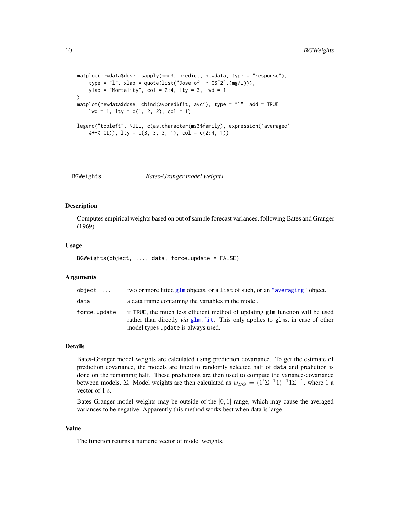```
matplot(newdata$dose, sapply(mod3, predict, newdata, type = "response"),
    type = "l", xlab = quote(list("Dose of" \sim CS[2],(mg/L))),
   ylab = "Mortality", col = 2:4, lty = 3, lwd = 1
)
matplot(newdata$dose, cbind(avpred$fit, avci), type = "l", add = TRUE,
    1wd = 1, 1ty = c(1, 2, 2), col = 1)
legend("topleft", NULL, c(as.character(ms3$family), expression(`averaged`
    %+-% CI)), lty = c(3, 3, 3, 1), col = c(2:4, 1)
```
<span id="page-9-1"></span>BGWeights *Bates-Granger model weights*

# Description

Computes empirical weights based on out of sample forecast variances, following Bates and Granger (1969).

#### Usage

```
BGWeights(object, ..., data, force.update = FALSE)
```
# Arguments

| object       | two or more fitted glm objects, or a list of such, or an "averaging" object.                                                                                                                                 |
|--------------|--------------------------------------------------------------------------------------------------------------------------------------------------------------------------------------------------------------|
| data         | a data frame containing the variables in the model.                                                                                                                                                          |
| force.update | if TRUE, the much less efficient method of updating glm function will be used<br>rather than directly <i>via</i> glm, fit. This only applies to glms, in case of other<br>model types update is always used. |

# Details

Bates-Granger model weights are calculated using prediction covariance. To get the estimate of prediction covariance, the models are fitted to randomly selected half of data and prediction is done on the remaining half. These predictions are then used to compute the variance-covariance between models,  $\Sigma$ . Model weights are then calculated as  $w_{BG} = (1'\Sigma^{-1}1)^{-1}1\Sigma^{-1}$ , where 1 a vector of 1-s.

Bates-Granger model weights may be outside of the  $[0, 1]$  range, which may cause the averaged variances to be negative. Apparently this method works best when data is large.

#### Value

The function returns a numeric vector of model weights.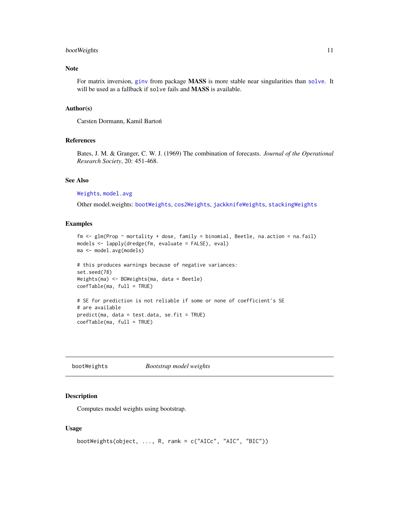# <span id="page-10-0"></span>bootWeights 11

# Note

For matrix inversion, [ginv](#page-0-0) from package MASS is more stable near singularities than [solve](#page-0-0). It will be used as a fallback if solve fails and MASS is available.

#### Author(s)

Carsten Dormann, Kamil Barton´

#### References

Bates, J. M. & Granger, C. W. J. (1969) The combination of forecasts. *Journal of the Operational Research Society*, 20: 451-468.

#### See Also

[Weights](#page-68-1), [model.avg](#page-31-1)

Other model.weights: [bootWeights](#page-10-1), [cos2Weights](#page-12-1), [jackknifeWeights](#page-25-1), [stackingWeights](#page-55-1)

#### Examples

```
fm <- glm(Prop ~ mortality + dose, family = binomial, Beetle, na.action = na.fail)
models <- lapply(dredge(fm, evaluate = FALSE), eval)
ma <- model.avg(models)
```

```
# this produces warnings because of negative variances:
set.seed(78)
Weights(ma) <- BGWeights(ma, data = Beetle)
coefTable(ma, full = TRUE)
```
# SE for prediction is not reliable if some or none of coefficient's SE # are available predict(ma, data = test.data, se.fit = TRUE) coefTable(ma, full = TRUE)

<span id="page-10-1"></span>bootWeights *Bootstrap model weights*

#### Description

Computes model weights using bootstrap.

#### Usage

```
bootWeights(object, ..., R, rank = c("AICc", "AIC", "BIC"))
```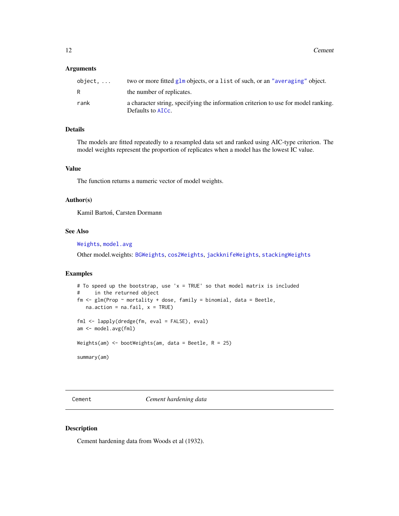#### <span id="page-11-0"></span>Arguments

| $object, \ldots$ | two or more fitted $g1m$ objects, or a list of such, or an "averaging" object.                          |
|------------------|---------------------------------------------------------------------------------------------------------|
| R                | the number of replicates.                                                                               |
| rank             | a character string, specifying the information criterion to use for model ranking.<br>Defaults to AICC. |

# Details

The models are fitted repeatedly to a resampled data set and ranked using AIC-type criterion. The model weights represent the proportion of replicates when a model has the lowest IC value.

# Value

The function returns a numeric vector of model weights.

# Author(s)

Kamil Bartoń, Carsten Dormann

# See Also

[Weights](#page-68-1), [model.avg](#page-31-1)

Other model.weights: [BGWeights](#page-9-1), [cos2Weights](#page-12-1), [jackknifeWeights](#page-25-1), [stackingWeights](#page-55-1)

#### Examples

```
# To speed up the bootstrap, use 'x = TRUE' so that model matrix is included
# in the returned object
fm \leq glm(Prop \sim mortality + dose, family = binomial, data = Beetle,
  na. action = na.fail, x = TRUE)fml <- lapply(dredge(fm, eval = FALSE), eval)
am <- model.avg(fml)
Weights(am) <- bootWeights(am, data = Beetle, R = 25)
summary(am)
```
Cement *Cement hardening data*

#### Description

Cement hardening data from Woods et al (1932).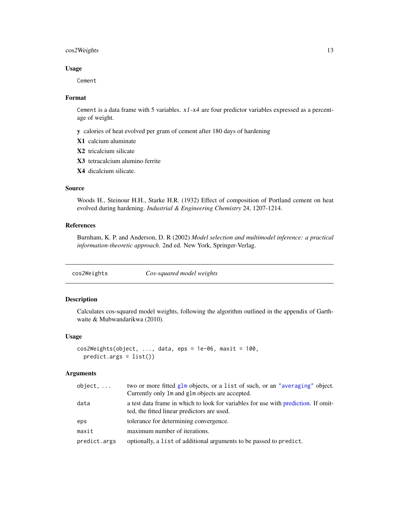# <span id="page-12-0"></span>cos2Weights 13

#### Usage

Cement

# Format

Cement is a data frame with 5 variables.  $x1-x4$  are four predictor variables expressed as a percentage of weight.

y calories of heat evolved per gram of cement after 180 days of hardening

- X1 calcium aluminate
- X2 tricalcium silicate
- X3 tetracalcium alumino ferrite
- X4 dicalcium silicate.

# Source

Woods H., Steinour H.H., Starke H.R. (1932) Effect of composition of Portland cement on heat evolved during hardening. *Industrial & Engineering Chemistry* 24, 1207-1214.

# References

Burnham, K. P. and Anderson, D. R (2002) *Model selection and multimodel inference: a practical information-theoretic approach*. 2nd ed. New York, Springer-Verlag.

<span id="page-12-1"></span>cos2Weights *Cos-squared model weights*

#### Description

Calculates cos-squared model weights, following the algorithm outlined in the appendix of Garthwaite & Mubwandarikwa (2010).

# Usage

```
cos2Weights(object, ..., data,eps = 1e-06, maxit = 100,predict.args = list())
```
# Arguments

| $object, \ldots$ | two or more fitted glm objects, or a list of such, or an "averaging" object.<br>Currently only 1m and g1m objects are accepted.   |
|------------------|-----------------------------------------------------------------------------------------------------------------------------------|
| data             | a test data frame in which to look for variables for use with prediction. If omit-<br>ted, the fitted linear predictors are used. |
| eps              | tolerance for determining convergence.                                                                                            |
| maxit            | maximum number of iterations.                                                                                                     |
| predict.args     | optionally, a list of additional arguments to be passed to predict.                                                               |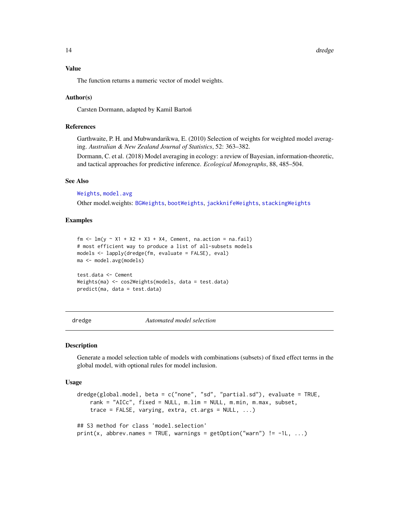<span id="page-13-0"></span>14 dredge and the state of the state of the state of the state of the state of the state of the state of the state of the state of the state of the state of the state of the state of the state of the state of the state of

#### Value

The function returns a numeric vector of model weights.

#### Author(s)

Carsten Dormann, adapted by Kamil Barton´

# References

Garthwaite, P. H. and Mubwandarikwa, E. (2010) Selection of weights for weighted model averaging. *Australian & New Zealand Journal of Statistics*, 52: 363–382.

Dormann, C. et al. (2018) Model averaging in ecology: a review of Bayesian, information-theoretic, and tactical approaches for predictive inference. *Ecological Monographs*, 88, 485–504.

# See Also

[Weights](#page-68-1), [model.avg](#page-31-1)

Other model.weights: [BGWeights](#page-9-1), [bootWeights](#page-10-1), [jackknifeWeights](#page-25-1), [stackingWeights](#page-55-1)

# Examples

```
fm \langle- lm(y \sim X1 + X2 + X3 + X4, Cement, na.action = na.fail)
# most efficient way to produce a list of all-subsets models
models <- lapply(dredge(fm, evaluate = FALSE), eval)
ma <- model.avg(models)
test.data <- Cement
Weights(ma) <- cos2Weights(models, data = test.data)
predict(ma, data = test.data)
```
<span id="page-13-1"></span>

dredge *Automated model selection*

#### Description

Generate a model selection table of models with combinations (subsets) of fixed effect terms in the global model, with optional rules for model inclusion.

#### Usage

```
dredge(global.model, beta = c("none", "sd", "partial.sd"), evaluate = TRUE,
   rank = "AICc", fixed = NULL, m.lim = NULL, m.min, m.max, subset,
   trace = FALSE, varying, extra, ct.args = NULL, ...)
## S3 method for class 'model.selection'
print(x, abbrew.names = TRUE, warnings = getOption("warn") != -1L, ...)
```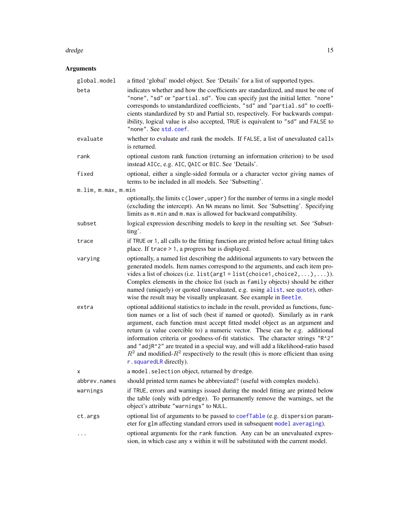#### dredge the control of the control of the control of the control of the control of the control of the control of the control of the control of the control of the control of the control of the control of the control of the c

# Arguments

| global.model        | a fitted 'global' model object. See 'Details' for a list of supported types.                                                                                                                                                                                                                                                                                                                                                                                                                                                                                                                                                     |
|---------------------|----------------------------------------------------------------------------------------------------------------------------------------------------------------------------------------------------------------------------------------------------------------------------------------------------------------------------------------------------------------------------------------------------------------------------------------------------------------------------------------------------------------------------------------------------------------------------------------------------------------------------------|
| beta                | indicates whether and how the coefficients are standardized, and must be one of<br>"none", "sd" or "partial.sd". You can specify just the initial letter. "none"<br>corresponds to unstandardized coefficients, "sd" and "partial.sd" to coeffi-<br>cients standardized by SD and Partial SD, respectively. For backwards compat-<br>ibility, logical value is also accepted, TRUE is equivalent to "sd" and FALSE to<br>"none". See std.coef.                                                                                                                                                                                   |
| evaluate            | whether to evaluate and rank the models. If FALSE, a list of unevaluated calls<br>is returned.                                                                                                                                                                                                                                                                                                                                                                                                                                                                                                                                   |
| rank                | optional custom rank function (returning an information criterion) to be used<br>instead AICc, e.g. AIC, QAIC or BIC. See 'Details'.                                                                                                                                                                                                                                                                                                                                                                                                                                                                                             |
| fixed               | optional, either a single-sided formula or a character vector giving names of<br>terms to be included in all models. See 'Subsetting'.                                                                                                                                                                                                                                                                                                                                                                                                                                                                                           |
| m.lim, m.max, m.min |                                                                                                                                                                                                                                                                                                                                                                                                                                                                                                                                                                                                                                  |
|                     | optionally, the limits c(lower, upper) for the number of terms in a single model<br>(excluding the intercept). An NA means no limit. See 'Subsetting'. Specifying<br>limits as m.min and m.max is allowed for backward compatibility.                                                                                                                                                                                                                                                                                                                                                                                            |
| subset              | logical expression describing models to keep in the resulting set. See 'Subset-<br>ting'.                                                                                                                                                                                                                                                                                                                                                                                                                                                                                                                                        |
| trace               | if TRUE or 1, all calls to the fitting function are printed before actual fitting takes<br>place. If $trace > 1$ , a progress bar is displayed.                                                                                                                                                                                                                                                                                                                                                                                                                                                                                  |
| varying             | optionally, a named list describing the additional arguments to vary between the<br>generated models. Item names correspond to the arguments, and each item pro-<br>vides a list of choices (i.e. $list(arg1 = list(choice1, choice2, ), ).$<br>Complex elements in the choice list (such as family objects) should be either<br>named (uniquely) or quoted (unevaluated, e.g. using alist, see quote), other-<br>wise the result may be visually unpleasant. See example in Beetle.                                                                                                                                             |
| extra               | optional additional statistics to include in the result, provided as functions, func-<br>tion names or a list of such (best if named or quoted). Similarly as in rank<br>argument, each function must accept fitted model object as an argument and<br>return (a value coercible to) a numeric vector. These can be e.g. additional<br>information criteria or goodness-of-fit statistics. The character strings "R^2"<br>and "adjR^2" are treated in a special way, and will add a likelihood-ratio based<br>$R^2$ and modified- $R^2$ respectively to the result (this is more efficient than using<br>r. squaredLR directly). |
| x                   | a model. selection object, returned by dredge.                                                                                                                                                                                                                                                                                                                                                                                                                                                                                                                                                                                   |
| abbrev.names        | should printed term names be abbreviated? (useful with complex models).                                                                                                                                                                                                                                                                                                                                                                                                                                                                                                                                                          |
| warnings            | if TRUE, errors and warnings issued during the model fitting are printed below<br>the table (only with pdredge). To permanently remove the warnings, set the<br>object's attribute "warnings" to NULL.                                                                                                                                                                                                                                                                                                                                                                                                                           |
| ct.args             | optional list of arguments to be passed to coefTable (e.g. dispersion param-<br>eter for glm affecting standard errors used in subsequent model averaging).                                                                                                                                                                                                                                                                                                                                                                                                                                                                      |
|                     | optional arguments for the rank function. Any can be an unevaluated expres-<br>sion, in which case any x within it will be substituted with the current model.                                                                                                                                                                                                                                                                                                                                                                                                                                                                   |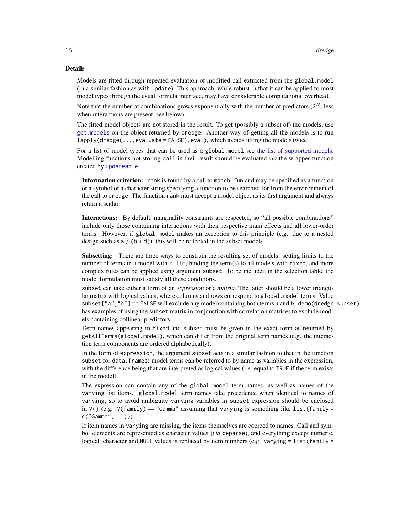#### Details

Models are fitted through repeated evaluation of modified call extracted from the global.model (in a similar fashion as with update). This approach, while robust in that it can be applied to most model types through the usual formula interface, may have considerable computational overhead.

Note that the number of combinations grows exponentially with the number of predictors  $(2^N, \text{less})$ when interactions are present, see below).

The fitted model objects are not stored in the result. To get (possibly a subset of) the models, use [get.models](#page-22-1) on the object returned by dredge. Another way of getting all the models is to run  $lapply(dredge(...,evaluate = FALSE), eval), which avoids fitting the models twice.$ 

For a list of model types that can be used as a global.model see [the list of supported models.](#page-37-1) Modelling functions not storing call in their result should be evaluated *via* the wrapper function created by [updateable](#page-65-1).

Information criterion: rank is found by a call to match. fun and may be specified as a function or a symbol or a character string specifying a function to be searched for from the environment of the call to dredge. The function rank must accept a model object as its first argument and always return a scalar.

Interactions: By default, marginality constraints are respected, so "all possible combinations" include only those containing interactions with their respective main effects and all lower-order terms. However, if global.model makes an exception to this principle (e.g. due to a nested design such as  $a / (b + d)$ , this will be reflected in the subset models.

Subsetting: There are three ways to constrain the resulting set of models: setting limits to the number of terms in a model with m.lim, binding the term(s) to all models with fixed, and more complex rules can be applied using argument subset. To be included in the selection table, the model formulation must satisfy all these conditions.

subset can take either a form of an *expression* or a *matrix*. The latter should be a lower triangular matrix with logical values, where columns and rows correspond to global.model terms. Value subset $["a", "b"] == FALEE will exclude any model containing both terms  $a$  and  $b$ . demo(dredge.subset)$ has examples of using the subset matrix in conjunction with correlation matrices to exclude models containing collinear predictors.

Term names appearing in fixed and subset must be given in the exact form as returned by getAllTerms(global.model), which can differ from the original term names (e.g. the interaction term components are ordered alphabetically).

In the form of expression, the argument subset acts in a similar fashion to that in the function subset for data. frames: model terms can be referred to by name as variables in the expression, with the difference being that are interpreted as logical values (i.e. equal to TRUE if the term exists in the model).

The expression can contain any of the global.model term names, as well as names of the varying list items. global.model term names take precedence when identical to names of varying, so to avoid ambiguity varying variables in subset expression should be enclosed in  $V()$  (e.g.  $V(family) == "Gamma"$  assuming that varying is something like list(family = c("Gamma",...))).

If item names in varying are missing, the items themselves are coerced to names. Call and symbol elements are represented as character values (*via* deparse), and everything except numeric, logical, character and NULL values is replaced by item numbers (e.g. varying = list(family =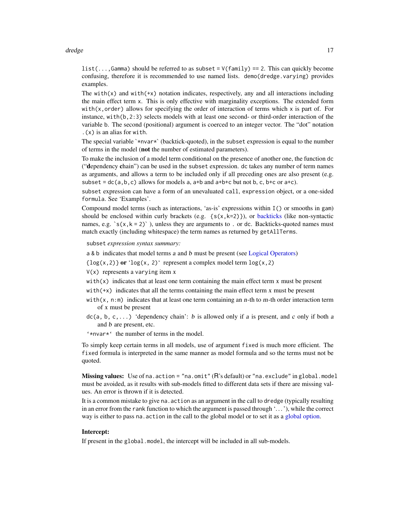#### dredge the control of the control of the control of the control of the control of the control of the control of the control of the control of the control of the control of the control of the control of the control of the c

list(..., Gamma) should be referred to as subset =  $V(family)$  == 2. This can quickly become confusing, therefore it is recommended to use named lists. demo(dredge.varying) provides examples.

The with( $x$ ) and with( $+x$ ) notation indicates, respectively, any and all interactions including the main effect term x. This is only effective with marginality exceptions. The extended form with $(x, \text{order})$  allows for specifying the order of interaction of terms which x is part of. For instance, with(b,2:3) selects models with at least one second- or third-order interaction of the variable b. The second (positional) argument is coerced to an integer vector. The "dot" notation .(x) is an alias for with.

The special variable  $\star$ nvar $\star$  (backtick-quoted), in the subset expression is equal to the number of terms in the model (not the number of estimated parameters).

To make the inclusion of a model term conditional on the presence of another one, the function dc ("dependency chain") can be used in the subset expression. dc takes any number of term names as arguments, and allows a term to be included only if all preceding ones are also present (e.g. subset =  $dc(a, b, c)$  allows for models a, a+b and a+b+c but not b, c, b+c or a+c).

subset expression can have a form of an unevaluated call, expression object, or a one-sided formula. See 'Examples'.

Compound model terms (such as interactions, 'as-is' expressions within I() or smooths in gam) should be enclosed within curly brackets (e.g.  $\{s(x,k=2)\}\)$ , or [backticks](#page-0-0) (like non-syntactic names, e.g.  $\text{'s}(x, k = 2)$ , unless they are arguments to . or dc. Backticks-quoted names must match exactly (including whitespace) the term names as returned by getAllTerms.

subset *expression syntax summary:*

a & b indicates that model terms a and b must be present (see [Logical Operators\)](#page-0-0)

 $\{log(x, 2)\}$  or ' $log(x, 2)$ ' represent a complex model term  $log(x, 2)$ 

- $V(x)$  represents a varying item x
- with(x) indicates that at least one term containing the main effect term x must be present
- with( $+x$ ) indicates that all the terms containing the main effect term x must be present
- with(x, n:m) indicates that at least one term containing an n-th to m-th order interaction term of x must be present
- $dc(a, b, c, \ldots)$  'dependency chain': b is allowed only if a is present, and c only if both a and b are present, etc.
- '\*nvar\*' the number of terms in the model.

To simply keep certain terms in all models, use of argument fixed is much more efficient. The fixed formula is interpreted in the same manner as model formula and so the terms must not be quoted.

Missing values: Use of na.action = "na.omit" (R's default) or "na.exclude" in global.model must be avoided, as it results with sub-models fitted to different data sets if there are missing values. An error is thrown if it is detected.

It is a common mistake to give na.action as an argument in the call to dredge (typically resulting in an error from the rank function to which the argument is passed through '. . . '), while the correct way is either to pass na.action in the call to the global model or to set it as a [global option.](#page-0-0)

# Intercept:

If present in the global.model, the intercept will be included in all sub-models.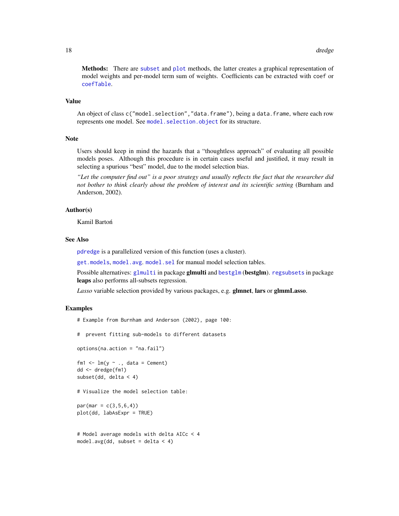Methods: There are [subset](#page-62-1) and [plot](#page-44-1) methods, the latter creates a graphical representation of model weights and per-model term sum of weights. Coefficients can be extracted with coef or [coefTable](#page-29-1).

# Value

An object of class c("model.selection","data.frame"), being a data.frame, where each row represents one model. See model. selection. object for its structure.

#### **Note**

Users should keep in mind the hazards that a "thoughtless approach" of evaluating all possible models poses. Although this procedure is in certain cases useful and justified, it may result in selecting a spurious "best" model, due to the model selection bias.

*"Let the computer find out" is a poor strategy and usually reflects the fact that the researcher did not bother to think clearly about the problem of interest and its scientific setting* (Burnham and Anderson, 2002).

# Author(s)

Kamil Bartoń

# See Also

[pdredge](#page-42-1) is a parallelized version of this function (uses a cluster).

[get.models](#page-22-1), [model.avg](#page-31-1). [model.sel](#page-34-1) for manual model selection tables.

Possible alternatives: [glmulti](#page-0-0) in package glmulti and [bestglm](#page-0-0) (bestglm). [regsubsets](#page-0-0) in package leaps also performs all-subsets regression.

*Lasso* variable selection provided by various packages, e.g. glmnet, lars or glmmLasso.

# Examples

```
# Example from Burnham and Anderson (2002), page 100:
# prevent fitting sub-models to different datasets
options(na.action = "na.fail")
fm1 \leftarrow lm(y \sim ., data = Cement)
dd <- dredge(fm1)
subset(dd, delta < 4)
# Visualize the model selection table:
par(max = c(3, 5, 6, 4))plot(dd, labAsExpr = TRUE)
# Model average models with delta AICc < 4
model.avg(dd, subset = delta < 4)
```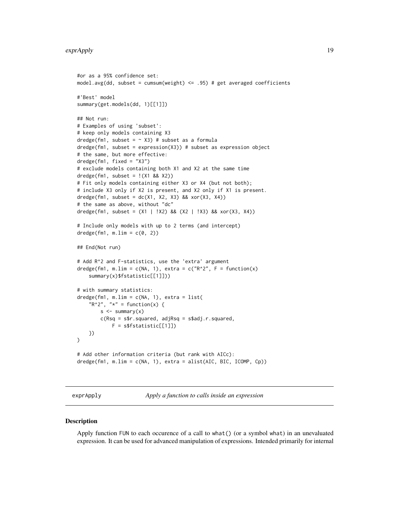```
#or as a 95% confidence set:
model.avg(dd, subset = cumsum(weight) <= .95) # get averaged coefficients
#'Best' model
summary(get.models(dd, 1)[[1]])
## Not run:
# Examples of using 'subset':
# keep only models containing X3
dredge(fm1, subset = \sim X3) # subset as a formula
dredge(fm1, subset = expression(X3)) # subset as expression object
# the same, but more effective:
dredge(fm1, fixed = "X3")
# exclude models containing both X1 and X2 at the same time
dredge(fm1, subset = !(X1 && X2))
# Fit only models containing either X3 or X4 (but not both);
# include X3 only if X2 is present, and X2 only if X1 is present.
dredge(fm1, subset = dc(X1, X2, X3) && xor(X3, X4))
# the same as above, without "dc"
dredge(fm1, subset = (X1 | !X2) && (X2 | !X3) && xor(X3, X4))
# Include only models with up to 2 terms (and intercept)
dredge(fm1, m.lim = c(0, 2))
## End(Not run)
# Add R^2 and F-statistics, use the 'extra' argument
dredge(fm1, m.lim = c(NA, 1), extra = c("R^2", F = function(x)summary(x)$fstatistic[[1]]))
# with summary statistics:
dredge(fm1, m.lim = c(NA, 1), extra = list(
    "R^2", "*" = function(x) {
        s < - summary(x)
        c(Rsq = s$r.squared, adjRsq = s$adj.r.squared,
            F = s$fstatistic[[1]])
    })
)
# Add other information criteria (but rank with AICc):
dredge(fm1, m.lim = c(NA, 1), extra = alist(AIC, BIC, ICOMP, Cp))
```
exprApply *Apply a function to calls inside an expression*

#### Description

Apply function FUN to each occurence of a call to what() (or a symbol what) in an unevaluated expression. It can be used for advanced manipulation of expressions. Intended primarily for internal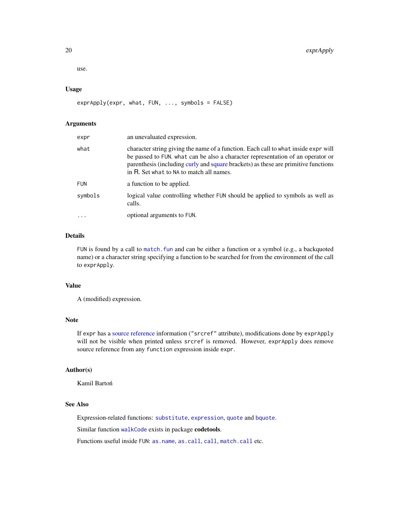use.

# Usage

```
exprApply(expr, what, FUN, ..., symbols = FALSE)
```
#### Arguments

| expr       | an unevaluated expression.                                                                                                                                                                                                                                                                              |
|------------|---------------------------------------------------------------------------------------------------------------------------------------------------------------------------------------------------------------------------------------------------------------------------------------------------------|
| what       | character string giving the name of a function. Each call to what inside expr will<br>be passed to FUN. what can be also a character representation of an operator or<br>parenthesis (including curly and square brackets) as these are primitive functions<br>in R. Set what to NA to match all names. |
| <b>FUN</b> | a function to be applied.                                                                                                                                                                                                                                                                               |
| symbols    | logical value controlling whether FUN should be applied to symbols as well as<br>calls.                                                                                                                                                                                                                 |
|            | optional arguments to FUN.                                                                                                                                                                                                                                                                              |

# Details

FUN is found by a call to [match.fun](#page-0-0) and can be either a function or a symbol (e.g., a backquoted name) or a character string specifying a function to be searched for from the environment of the call to exprApply.

# Value

A (modified) expression.

# Note

If expr has a [source reference](#page-0-0) information ("srcref" attribute), modifications done by exprApply will not be visible when printed unless srcref is removed. However, exprApply does remove source reference from any function expression inside expr.

# Author(s)

Kamil Bartoń

# See Also

Expression-related functions: [substitute](#page-0-0), [expression](#page-0-0), [quote](#page-0-0) and [bquote](#page-0-0).

Similar function [walkCode](#page-0-0) exists in package codetools.

Functions useful inside FUN: [as.name](#page-0-0), [as.call](#page-0-0), [call](#page-0-0), [match.call](#page-0-0) etc.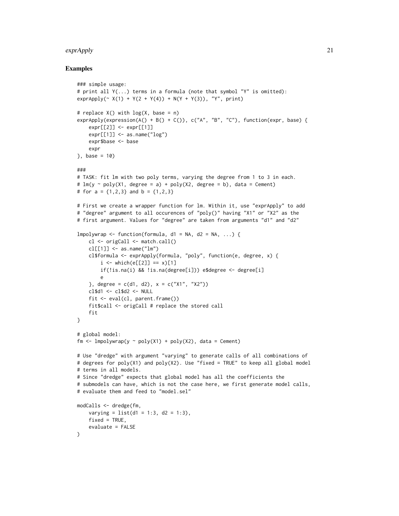#### exprApply 21

#### Examples

```
### simple usage:
# print all Y(...) terms in a formula (note that symbol "Y" is omitted):
exprApply (~ X(1) + Y(2 + Y(4)) + N(Y + Y(3)), "Y", print)# replace X() with log(X, base = n)
exprApply(expression(A() + B() + C()), c("A", "B", "C"), function(expr, base) {
    expr[[2]] <- expr[[1]]
    expr[[1]] \leq -as.name("log")expr$base <- base
    expr
}, base = 10)
###
# TASK: fit lm with two poly terms, varying the degree from 1 to 3 in each.
# lm(y \sim poly(X1, degree = a) + poly(X2, degree = b), data = Cement)
# for a = \{1,2,3\} and b = \{1,2,3\}# First we create a wrapper function for lm. Within it, use "exprApply" to add
# "degree" argument to all occurences of "poly()" having "X1" or "X2" as the
# first argument. Values for "degree" are taken from arguments "d1" and "d2"
lmpolywrap \leq function(formula, d1 = NA, d2 = NA, ...) {
    cl <- origCall <- match.call()
    cl[[1]] \leftarrow as.name("lm")cl$formula <- exprApply(formula, "poly", function(e, degree, x) {
        i \le - which(e[[2]] == x)[1]
        if(!is.na(i) && !is.na(degree[i])) e$degree <- degree[i]
        e
    }, degree = c(d1, d2), x = c("X1", "X2"))cl$d1 <- cl$d2 <- NULL
    fit <- eval(cl, parent.frame())
    fit$call <- origCall # replace the stored call
    fit
}
# global model:
fm \le lmpolywrap(y \sim poly(X1) + poly(X2), data = Cement)
# Use "dredge" with argument "varying" to generate calls of all combinations of
# degrees for poly(X1) and poly(X2). Use "fixed = TRUE" to keep all global model
# terms in all models.
# Since "dredge" expects that global model has all the coefficients the
# submodels can have, which is not the case here, we first generate model calls,
# evaluate them and feed to "model.sel"
modCalls <- dredge(fm,
    varying = list(d1 = 1:3, d2 = 1:3),
    fixed = TRUE,
    evaluate = FALSE
\lambda
```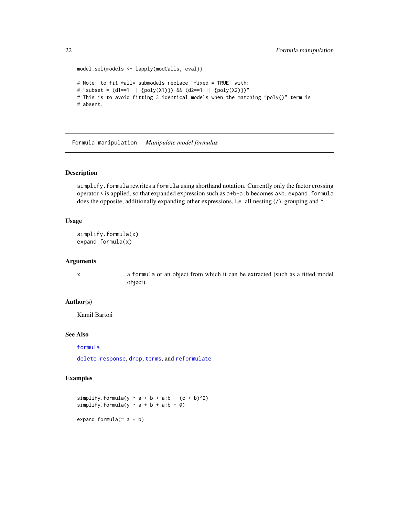```
model.sel(models <- lapply(modCalls, eval))
# Note: to fit *all* submodels replace "fixed = TRUE" with:
# "subset = (d1==1 || {poly(X1)}) && (d2==1 || {poly(X2)})"
# This is to avoid fitting 3 identical models when the matching "poly()" term is
# absent.
```
Formula manipulation *Manipulate model formulas*

# Description

simplify.formula rewrites a formula using shorthand notation. Currently only the factor crossing operator  $*$  is applied, so that expanded expression such as  $a+b+a$ : b becomes  $a*b$ . expand. formula does the opposite, additionally expanding other expressions, i.e. all nesting  $(1)$ , grouping and  $\wedge$ .

# Usage

```
simplify.formula(x)
expand.formula(x)
```
#### Arguments

x a formula or an object from which it can be extracted (such as a fitted model object).

# Author(s)

Kamil Bartoń

# See Also

[formula](#page-0-0)

[delete.response](#page-0-0), [drop.terms](#page-0-0), and [reformulate](#page-0-0)

# Examples

simplify.formula(y  $\sim$  a + b + a:b + (c + b)^2) simplify.formula(y  $\sim$  a + b + a:b + 0) expand.formula( $\sim$  a  $*$  b)

<span id="page-21-0"></span>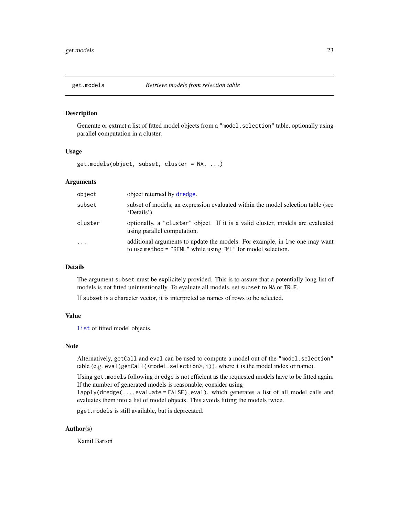<span id="page-22-1"></span><span id="page-22-0"></span>

# Description

Generate or extract a list of fitted model objects from a "model. selection" table, optionally using parallel computation in a cluster.

#### Usage

get.models(object, subset, cluster = NA, ...)

# Arguments

| object     | object returned by dredge.                                                                                                                  |
|------------|---------------------------------------------------------------------------------------------------------------------------------------------|
| subset     | subset of models, an expression evaluated within the model selection table (see<br>'Details').                                              |
| cluster    | optionally, a "cluster" object. If it is a valid cluster, models are evaluated<br>using parallel computation.                               |
| $\ddots$ . | additional arguments to update the models. For example, in lme one may want<br>to use method = "REML" while using "ML" for model selection. |

# Details

The argument subset must be explicitely provided. This is to assure that a potentially long list of models is not fitted unintentionally. To evaluate all models, set subset to NA or TRUE.

If subset is a character vector, it is interpreted as names of rows to be selected.

# Value

[list](#page-0-0) of fitted model objects.

#### Note

Alternatively, getCall and eval can be used to compute a model out of the "model.selection" table (e.g. eval(getCall(<model.selection>,i)), where i is the model index or name).

Using get.models following dredge is not efficient as the requested models have to be fitted again. If the number of generated models is reasonable, consider using

lapply(dredge(...,evaluate = FALSE),eval), which generates a list of all model calls and evaluates them into a list of model objects. This avoids fitting the models twice.

pget.models is still available, but is deprecated.

# Author(s)

Kamil Bartoń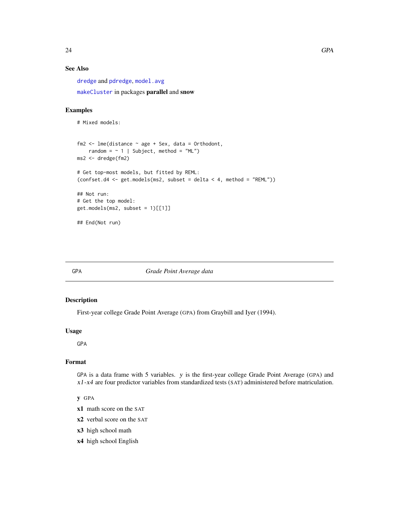# <span id="page-23-0"></span>See Also

[dredge](#page-13-1) and [pdredge](#page-42-1), [model.avg](#page-31-1)

[makeCluster](#page-0-0) in packages parallel and snow

# Examples

```
# Mixed models:
fm2 \leq -\text{Im}e(\text{distance} \leq \text{age} + \text{Sex}, \text{data} = \text{Orthodont},random = \sim 1 | Subject, method = "ML")
ms2 <- dredge(fm2)
# Get top-most models, but fitted by REML:
(confset.d4 <- get.models(ms2, subset = delta < 4, method = "REML"))
## Not run:
# Get the top model:
get.models(ms2, subset = 1)[[1]]## End(Not run)
```
# GPA *Grade Point Average data*

# Description

First-year college Grade Point Average (GPA) from Graybill and Iyer (1994).

#### Usage

GPA

# Format

GPA is a data frame with 5 variables. y is the first-year college Grade Point Average (GPA) and x1-x4 are four predictor variables from standardized tests (SAT) administered before matriculation.

# y GPA

- x1 math score on the SAT
- x2 verbal score on the SAT
- x3 high school math
- x4 high school English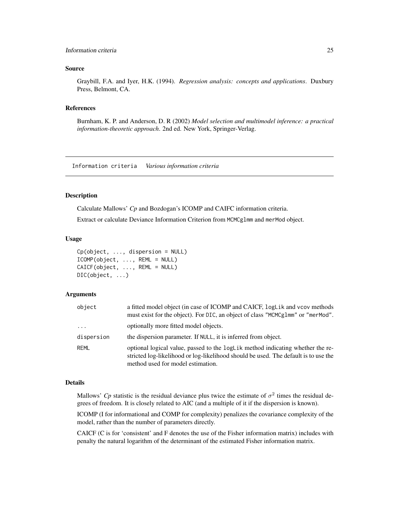# <span id="page-24-0"></span>Information criteria 25

#### Source

Graybill, F.A. and Iyer, H.K. (1994). *Regression analysis: concepts and applications*. Duxbury Press, Belmont, CA.

#### References

Burnham, K. P. and Anderson, D. R (2002) *Model selection and multimodel inference: a practical information-theoretic approach*. 2nd ed. New York, Springer-Verlag.

Information criteria *Various information criteria*

#### <span id="page-24-1"></span>Description

Calculate Mallows' *Cp* and Bozdogan's ICOMP and CAIFC information criteria.

Extract or calculate Deviance Information Criterion from MCMCglmm and merMod object.

# Usage

```
Cp(object, ..., dispersion = NULL)
ICOMP(object, ..., REML = NULL)
CAICF(object, ..., REML = NULL)
DIC(object, ...)
```
# Arguments

| object     | a fitted model object (in case of ICOMP and CAICF, logLik and vcov methods<br>must exist for the object). For DIC, an object of class "MCMCg1mm" or "merMod".                                              |
|------------|------------------------------------------------------------------------------------------------------------------------------------------------------------------------------------------------------------|
| $\cdots$   | optionally more fitted model objects.                                                                                                                                                                      |
| dispersion | the dispersion parameter. If NULL, it is inferred from object.                                                                                                                                             |
| REML       | optional logical value, passed to the logLik method indicating whether the re-<br>stricted log-likelihood or log-likelihood should be used. The default is to use the<br>method used for model estimation. |

# Details

Mallows' *Cp* statistic is the residual deviance plus twice the estimate of  $\sigma^2$  times the residual degrees of freedom. It is closely related to AIC (and a multiple of it if the dispersion is known).

ICOMP (I for informational and COMP for complexity) penalizes the covariance complexity of the model, rather than the number of parameters directly.

CAICF (C is for 'consistent' and F denotes the use of the Fisher information matrix) includes with penalty the natural logarithm of the determinant of the estimated Fisher information matrix.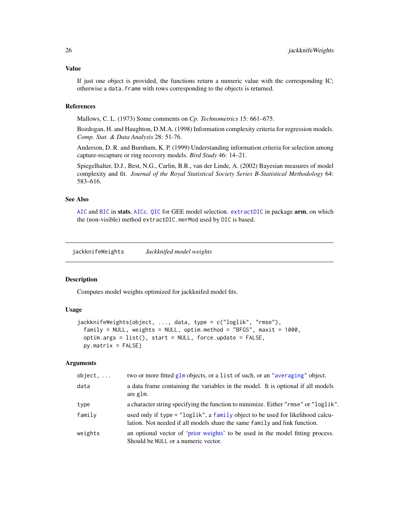# <span id="page-25-0"></span>Value

If just one object is provided, the functions return a numeric value with the corresponding IC; otherwise a data.frame with rows corresponding to the objects is returned.

# References

Mallows, C. L. (1973) Some comments on *Cp*. *Technometrics* 15: 661–675.

Bozdogan, H. and Haughton, D.M.A. (1998) Information complexity criteria for regression models. *Comp. Stat. & Data Analysis* 28: 51-76.

Anderson, D. R. and Burnham, K. P. (1999) Understanding information criteria for selection among capture-recapture or ring recovery models. *Bird Study* 46: 14–21.

Spiegelhalter, D.J., Best, N.G., Carlin, B.R., van der Linde, A. (2002) Bayesian measures of model complexity and fit. *Journal of the Royal Statistical Society Series B-Statistical Methodology* 64: 583–616.

# See Also

[AIC](#page-0-0) and [BIC](#page-0-0) in stats, [AICc](#page-3-1). [QIC](#page-49-1) for GEE model selection. [extractDIC](#page-0-0) in package arm, on which the (non-visible) method extractDIC.merMod used by DIC is based.

<span id="page-25-1"></span>jackknifeWeights *Jackknifed model weights*

# Description

Computes model weights optimized for jackknifed model fits.

# Usage

```
jackknifeWeights(object, ..., data, type = c("loglik", "rmse"),
 family = NULL, weights = NULL, optim. method = "BFGS", maxit = 1000,optim.args = list(), start = NULL, force.update = FALSE,
 py_matrix = FALSE)
```
#### Arguments

| $object, \ldots$ | two or more fitted glm objects, or a list of such, or an "averaging" object.                                                                                |
|------------------|-------------------------------------------------------------------------------------------------------------------------------------------------------------|
| data             | a data frame containing the variables in the model. It is optional if all models<br>are glm.                                                                |
| type             | a character string specifying the function to minimize. Either "rmse" or "loglik".                                                                          |
| family           | used only if type = "loglik", a family object to be used for likelihood calcu-<br>lation. Not needed if all models share the same family and link function. |
| weights          | an optional vector of 'prior weights' to be used in the model fitting process.<br>Should be NULL or a numeric vector.                                       |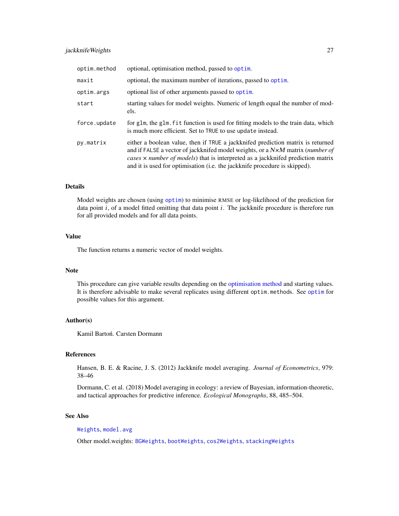# jackknifeWeights 27

| optim.method | optional, optimisation method, passed to optim.                                                                                                                                                                                                                                                                                           |
|--------------|-------------------------------------------------------------------------------------------------------------------------------------------------------------------------------------------------------------------------------------------------------------------------------------------------------------------------------------------|
| maxit        | optional, the maximum number of iterations, passed to optim.                                                                                                                                                                                                                                                                              |
| optim.args   | optional list of other arguments passed to optim.                                                                                                                                                                                                                                                                                         |
| start        | starting values for model weights. Numeric of length equal the number of mod-<br>els.                                                                                                                                                                                                                                                     |
| force.update | for glm, the glm. fit function is used for fitting models to the train data, which<br>is much more efficient. Set to TRUE to use update instead.                                                                                                                                                                                          |
| py.matrix    | either a boolean value, then if TRUE a jackknifed prediction matrix is returned<br>and if FALSE a vector of jackknifed model weights, or a N×M matrix (number of<br>cases x number of models) that is interpreted as a jackknifed prediction matrix<br>and it is used for optimisation ( <i>i.e.</i> the jackknife procedure is skipped). |

# Details

Model weights are chosen (using [optim](#page-0-0)) to minimise RMSE or log-likelihood of the prediction for data point i, of a model fitted omitting that data point i. The jackknife procedure is therefore run for all provided models and for all data points.

# Value

The function returns a numeric vector of model weights.

#### Note

This procedure can give variable results depending on the [optimisation method](#page-0-0) and starting values. It is therefore advisable to make several replicates using different optim.methods. See [optim](#page-0-0) for possible values for this argument.

# Author(s)

Kamil Bartoń. Carsten Dormann

# References

Hansen, B. E. & Racine, J. S. (2012) Jackknife model averaging. *Journal of Econometrics*, 979: 38–46

Dormann, C. et al. (2018) Model averaging in ecology: a review of Bayesian, information-theoretic, and tactical approaches for predictive inference. *Ecological Monographs*, 88, 485–504.

# See Also

[Weights](#page-68-1), [model.avg](#page-31-1)

Other model.weights: [BGWeights](#page-9-1), [bootWeights](#page-10-1), [cos2Weights](#page-12-1), [stackingWeights](#page-55-1)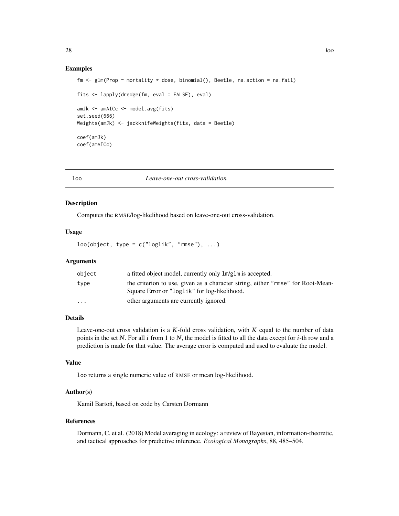# Examples

```
fm \leq glm(Prop \sim mortality \star dose, binomial(), Beetle, na.action = na.fail)
fits <- lapply(dredge(fm, eval = FALSE), eval)
amJk <- amAICc <- model.avg(fits)
set.seed(666)
Weights(amJk) <- jackknifeWeights(fits, data = Beetle)
coef(amJk)
coef(amAICc)
```
loo *Leave-one-out cross-validation*

#### Description

Computes the RMSE/log-likelihood based on leave-one-out cross-validation.

# Usage

 $loo(object, type = c("loglik", "rmse"), ...)$ 

# Arguments

| object                  | a fitted object model, currently only $lm/glm$ is accepted.                                                                     |
|-------------------------|---------------------------------------------------------------------------------------------------------------------------------|
| type                    | the criterion to use, given as a character string, either "rmse" for Root-Mean-<br>Square Error or "loglik" for log-likelihood. |
| $\cdot$ $\cdot$ $\cdot$ | other arguments are currently ignored.                                                                                          |

# Details

Leave-one-out cross validation is a  $K$ -fold cross validation, with  $K$  equal to the number of data points in the set N. For all  $i$  from 1 to N, the model is fitted to all the data except for  $i$ -th row and a prediction is made for that value. The average error is computed and used to evaluate the model.

#### Value

loo returns a single numeric value of RMSE or mean log-likelihood.

#### Author(s)

Kamil Bartoń, based on code by Carsten Dormann

#### References

Dormann, C. et al. (2018) Model averaging in ecology: a review of Bayesian, information-theoretic, and tactical approaches for predictive inference. *Ecological Monographs*, 88, 485–504.

<span id="page-27-0"></span>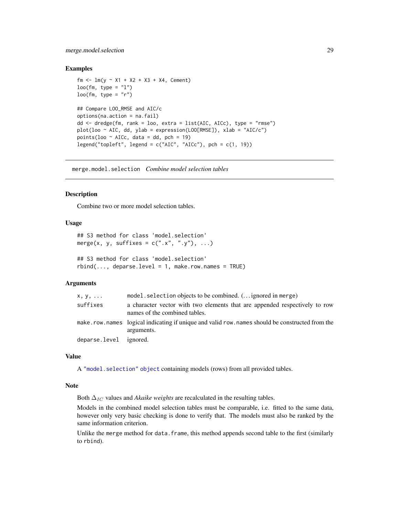# <span id="page-28-0"></span>merge.model.selection 29

# Examples

```
fm <- lm(y \sim X1 + X2 + X3 + X4, Cement)
loo(fm, type = "l")loo(fm, type = "r")## Compare LOO_RMSE and AIC/c
options(na.action = na.fail)
dd <- dredge(fm, rank = loo, extra = list(AIC, AICc), type = "rmse")
plot(loo ~ AIC, dd, ylab = expression(LOO[RMSE]), xlab = "AIC/c")points(loo \sim AICc, data = dd, pch = 19)
legend("topleft", legend = c("AIC", "AICc"), pch = c(1, 19))
```
merge.model.selection *Combine model selection tables*

#### Description

Combine two or more model selection tables.

# Usage

```
## S3 method for class 'model.selection'
merge(x, y, suffixes = c("x", "y"), ...)
## S3 method for class 'model.selection'
```
 $rbind(..., \text{ deparse. level} = 1, \text{ make.} row. \text{names} = \text{TRUE})$ 

# Arguments

| $X, V, \ldots$         | model. selection objects to be combined. $($ ignored in merge)                                                  |
|------------------------|-----------------------------------------------------------------------------------------------------------------|
| suffixes               | a character vector with two elements that are appended respectively to row<br>names of the combined tables.     |
|                        | make, row, names logical indicating if unique and valid row, names should be constructed from the<br>arguments. |
| deparse.level ignored. |                                                                                                                 |

# Value

A ["model.selection" object](#page-36-1) containing models (rows) from all provided tables.

#### Note

Both  $\Delta_{IC}$  values and *Akaike weights* are recalculated in the resulting tables.

Models in the combined model selection tables must be comparable, i.e. fitted to the same data, however only very basic checking is done to verify that. The models must also be ranked by the same information criterion.

Unlike the merge method for data. frame, this method appends second table to the first (similarly to rbind).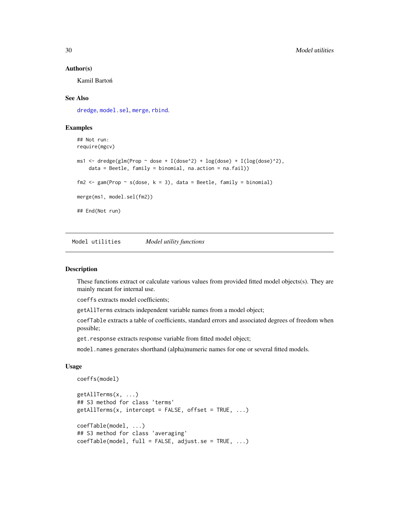#### Author(s)

Kamil Bartoń

# See Also

[dredge](#page-13-1), [model.sel](#page-34-1), [merge](#page-0-0), [rbind](#page-0-0).

# Examples

```
## Not run:
require(mgcv)
ms1 <- dredge(glm(Prop ~ dose + I(dose^2) + log(dose) + I(log(dose)^2),
    data = Beetle, family = binomial, na.action = na.fail))
fm2 <- gam(Prop ~ s(dose, k = 3), data = Beetle, family = binomial)
merge(ms1, model.sel(fm2))
## End(Not run)
```
Model utilities *Model utility functions*

# <span id="page-29-1"></span>Description

These functions extract or calculate various values from provided fitted model objects(s). They are mainly meant for internal use.

coeffs extracts model coefficients;

getAllTerms extracts independent variable names from a model object;

coefTable extracts a table of coefficients, standard errors and associated degrees of freedom when possible;

get.response extracts response variable from fitted model object;

model.names generates shorthand (alpha)numeric names for one or several fitted models.

#### Usage

```
coeffs(model)
getAllTerms(x, ...)
## S3 method for class 'terms'
getAllTerms(x, intercept = FALSE, offset = TRUE, ...)coefTable(model, ...)
## S3 method for class 'averaging'
coefTable(model, full = FALSE, adjust.se = TRUE, ...)
```
<span id="page-29-0"></span>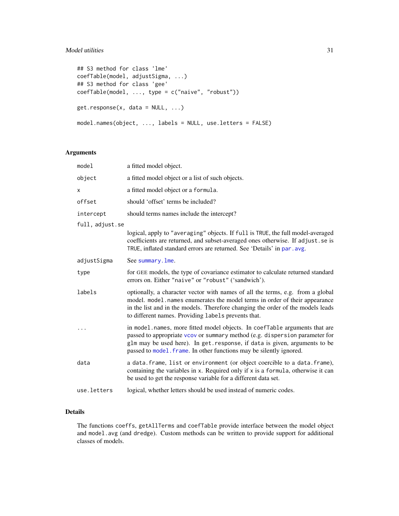# Model utilities 31

```
## S3 method for class 'lme'
coefTable(model, adjustSigma, ...)
## S3 method for class 'gee'
coefTable(model, ..., type = c("naive", "robust"))
get.response(x, data = NULL, ...)model.names(object, ..., labels = NULL, use.letters = FALSE)
```
# Arguments

| model           | a fitted model object.                                                                                                                                                                                                                                                                                         |
|-----------------|----------------------------------------------------------------------------------------------------------------------------------------------------------------------------------------------------------------------------------------------------------------------------------------------------------------|
| object          | a fitted model object or a list of such objects.                                                                                                                                                                                                                                                               |
| X               | a fitted model object or a formula.                                                                                                                                                                                                                                                                            |
| offset          | should 'offset' terms be included?                                                                                                                                                                                                                                                                             |
| intercept       | should terms names include the intercept?                                                                                                                                                                                                                                                                      |
| full, adjust.se |                                                                                                                                                                                                                                                                                                                |
|                 | logical, apply to "averaging" objects. If full is TRUE, the full model-averaged<br>coefficients are returned, and subset-averaged ones otherwise. If adjust.se is<br>TRUE, inflated standard errors are returned. See 'Details' in par. avg.                                                                   |
| adjustSigma     | See summary. lme.                                                                                                                                                                                                                                                                                              |
| type            | for GEE models, the type of covariance estimator to calculate returned standard<br>errors on. Either "naive" or "robust" ('sandwich').                                                                                                                                                                         |
| labels          | optionally, a character vector with names of all the terms, e.g. from a global<br>model. model. names enumerates the model terms in order of their appearance<br>in the list and in the models. Therefore changing the order of the models leads<br>to different names. Providing labels prevents that.        |
|                 | in model.names, more fitted model objects. In coefTable arguments that are<br>passed to appropriate vcov or summary method (e.g. dispersion parameter for<br>glm may be used here). In get. response, if data is given, arguments to be<br>passed to model. frame. In other functions may be silently ignored. |
| data            | a data. frame, list or environment (or object coercible to a data. frame),<br>containing the variables in x. Required only if x is a formula, otherwise it can<br>be used to get the response variable for a different data set.                                                                               |
| use.letters     | logical, whether letters should be used instead of numeric codes.                                                                                                                                                                                                                                              |

# Details

The functions coeffs, getAllTerms and coefTable provide interface between the model object and model.avg (and dredge). Custom methods can be written to provide support for additional classes of models.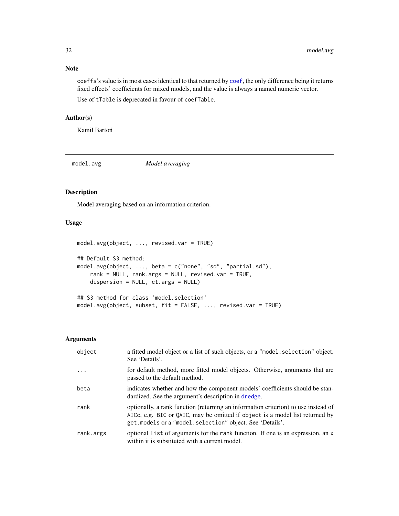<span id="page-31-0"></span>coeffs's value is in most cases identical to that returned by [coef](#page-0-0), the only difference being it returns fixed effects' coefficients for mixed models, and the value is always a named numeric vector.

Use of tTable is deprecated in favour of coefTable.

# Author(s)

Kamil Bartoń

<span id="page-31-1"></span>

model.avg *Model averaging*

# Description

Model averaging based on an information criterion.

# Usage

```
model.avg(object, ..., revised.var = TRUE)
## Default S3 method:
model.avg(object, ..., beta = c("none", "sd", "partial.sd"),
    rank = NULL, rank.args = NULL, revised.var = TRUE,
    dispersion = NULL, ct.args = NULL)
## S3 method for class 'model.selection'
model.avg(object, subset, fit = FALSE, ..., revised.var = TRUE)
```
#### Arguments

| object    | a fitted model object or a list of such objects, or a "model selection" object.<br>See 'Details'.                                                                                                                                |
|-----------|----------------------------------------------------------------------------------------------------------------------------------------------------------------------------------------------------------------------------------|
| $\ddotsc$ | for default method, more fitted model objects. Otherwise, arguments that are<br>passed to the default method.                                                                                                                    |
| beta      | indicates whether and how the component models' coefficients should be stan-<br>dardized. See the argument's description in dredge.                                                                                              |
| rank      | optionally, a rank function (returning an information criterion) to use instead of<br>AICc, e.g. BIC or QAIC, may be omitted if object is a model list returned by<br>get. models or a "model. selection" object. See 'Details'. |
| rank.args | optional list of arguments for the rank function. If one is an expression, an x<br>within it is substituted with a current model.                                                                                                |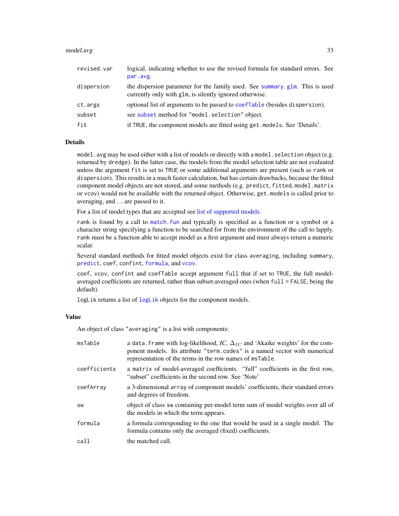#### model.avg 33

| revised.var | logical, indicating whether to use the revised formula for standard errors. See<br>par.avg.                                            |
|-------------|----------------------------------------------------------------------------------------------------------------------------------------|
| dispersion  | the dispersion parameter for the family used. See summary glm. This is used<br>currently only with glm, is silently ignored otherwise. |
| ct.args     | optional list of arguments to be passed to coef Table (besides dispersion).                                                            |
| subset      | see subset method for "model.selection" object.                                                                                        |
| fit         | if TRUE, the component models are fitted using get. models. See 'Details'.                                                             |

# Details

model.avg may be used either with a list of models or directly with a model. selection object (e.g. returned by dredge). In the latter case, the models from the model selection table are not evaluated unless the argument fit is set to TRUE or some additional arguments are present (such as rank or dispersion). This results in a much faster calculation, but has certain drawbacks, because the fitted component model objects are not stored, and some methods (e.g. predict, fitted, model.matrix or vcov) would not be available with the returned object. Otherwise, get.models is called prior to averaging, and . . . are passed to it.

For a list of model types that are accepted see [list of supported models.](#page-37-1)

rank is found by a call to [match.fun](#page-0-0) and typically is specified as a function or a symbol or a character string specifying a function to be searched for from the environment of the call to lapply. rank must be a function able to accept model as a first argument and must always return a numeric scalar.

Several standard methods for fitted model objects exist for class averaging, including summary, [predict](#page-45-1), coef, confint, [formula](#page-0-0), and [vcov](#page-0-0).

coef, vcov, confint and coefTable accept argument full that if set to TRUE, the full modelaveraged coefficients are returned, rather than subset-averaged ones (when full = FALSE, being the default).

[logLik](#page-0-0) returns a list of logLik objects for the component models.

# Value

An object of class "averaging" is a list with components:

| msTable      | a data. frame with log-likelihood, IC, $\Delta_{IC}$ and 'Akaike weights' for the com-<br>ponent models. Its attribute "term.codes" is a named vector with numerical<br>representation of the terms in the row names of msTable. |
|--------------|----------------------------------------------------------------------------------------------------------------------------------------------------------------------------------------------------------------------------------|
| coefficients | a matrix of model-averaged coefficients. "full" coefficients in the first row,<br>"subset" coefficients in the second row. See 'Note'                                                                                            |
| coefArray    | a 3-dimensional array of component models' coefficients, their standard errors<br>and degrees of freedom.                                                                                                                        |
| SW           | object of class sw containing per-model term sum of model weights over all of<br>the models in which the term appears.                                                                                                           |
| formula      | a formula corresponding to the one that would be used in a single model. The<br>formula contains only the averaged (fixed) coefficients.                                                                                         |
| call         | the matched call.                                                                                                                                                                                                                |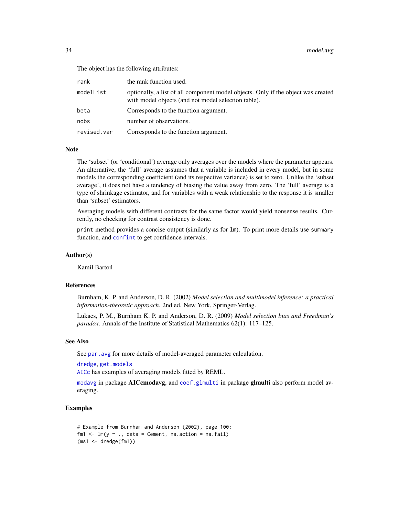The object has the following attributes:

| rank        | the rank function used.                                                                                                                  |
|-------------|------------------------------------------------------------------------------------------------------------------------------------------|
| modelList   | optionally, a list of all component model objects. Only if the object was created<br>with model objects (and not model selection table). |
| beta        | Corresponds to the function argument.                                                                                                    |
| nobs        | number of observations.                                                                                                                  |
| revised.var | Corresponds to the function argument.                                                                                                    |

#### Note

The 'subset' (or 'conditional') average only averages over the models where the parameter appears. An alternative, the 'full' average assumes that a variable is included in every model, but in some models the corresponding coefficient (and its respective variance) is set to zero. Unlike the 'subset average', it does not have a tendency of biasing the value away from zero. The 'full' average is a type of shrinkage estimator, and for variables with a weak relationship to the response it is smaller than 'subset' estimators.

Averaging models with different contrasts for the same factor would yield nonsense results. Currently, no checking for contrast consistency is done.

print method provides a concise output (similarly as for lm). To print more details use summary function, and [confint](#page-0-0) to get confidence intervals.

# Author(s)

Kamil Bartoń

#### References

Burnham, K. P. and Anderson, D. R. (2002) *Model selection and multimodel inference: a practical information-theoretic approach*. 2nd ed. New York, Springer-Verlag.

Lukacs, P. M., Burnham K. P. and Anderson, D. R. (2009) *Model selection bias and Freedman's paradox*. Annals of the Institute of Statistical Mathematics 62(1): 117–125.

# See Also

See par. avg for more details of model-averaged parameter calculation.

[dredge](#page-13-1), [get.models](#page-22-1)

[AICc](#page-3-1) has examples of averaging models fitted by REML.

[modavg](#page-0-0) in package AICcmodavg, and [coef.glmulti](#page-0-0) in package glmulti also perform model averaging.

# Examples

```
# Example from Burnham and Anderson (2002), page 100:
fm1 \leftarrow lm(y \sim ., data = Cement, na.action = na.fail)
(ms1 <- dredge(fm1))
```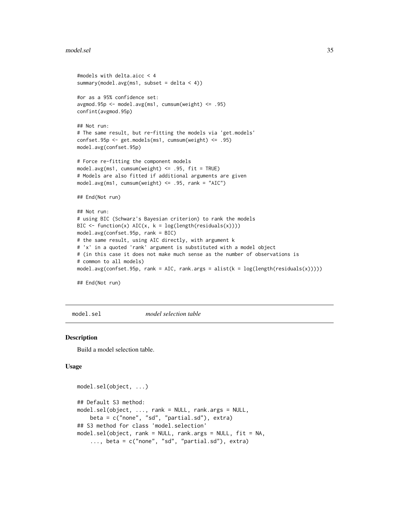#### <span id="page-34-0"></span>model.sel 35

```
#models with delta.aicc < 4
summary(model.avg(ms1, subset = delta < 4))
#or as a 95% confidence set:
avgmod.95p <- model.avg(ms1, cumsum(weight) <= .95)
confint(avgmod.95p)
## Not run:
# The same result, but re-fitting the models via 'get.models'
confset.95p <- get.models(ms1, cumsum(weight) <= .95)
model.avg(confset.95p)
# Force re-fitting the component models
model.avg(ms1, cumsum(weight) <= .95, fit = TRUE)
# Models are also fitted if additional arguments are given
model.avg(ms1, cumsum(weight) <= .95, rank = "AIC")
## End(Not run)
## Not run:
# using BIC (Schwarz's Bayesian criterion) to rank the models
BIC \leftarrow function(x) AIC(x, k = log(length(residuals(x))))model.avg(confset.95p, rank = BIC)
# the same result, using AIC directly, with argument k
# 'x' in a quoted 'rank' argument is substituted with a model object
# (in this case it does not make much sense as the number of observations is
# common to all models)
model.argv(constset.95p, rank = AIC, rank.args = alist(k = log(lensth(residuals(x))))
```
## End(Not run)

<span id="page-34-1"></span>model.sel *model selection table*

#### **Description**

Build a model selection table.

#### Usage

```
model.sel(object, ...)
## Default S3 method:
model.sel(object, ..., rank = NULL, rank.args = NULL,
    beta = c("none", "sd", "partial.sd"), extra)
## S3 method for class 'model.selection'
model.sel(object, rank = NULL, rank.args = NULL, fit = NA,
    \ldots, beta = c("none", "sd", "partial.sd"), extra)
```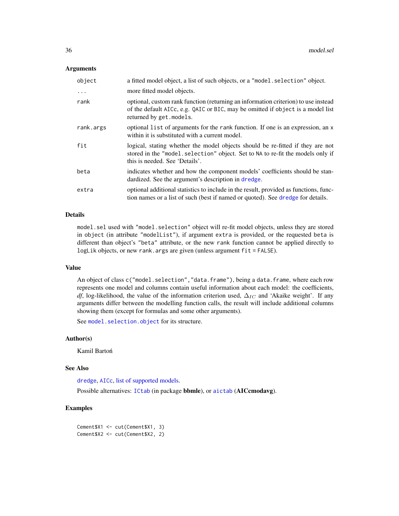# Arguments

| object     | a fitted model object, a list of such objects, or a "model. selection" object.                                                                                                                     |
|------------|----------------------------------------------------------------------------------------------------------------------------------------------------------------------------------------------------|
| $\ddots$ . | more fitted model objects.                                                                                                                                                                         |
| rank       | optional, custom rank function (returning an information criterion) to use instead<br>of the default AICc, e.g. QAIC or BIC, may be omitted if object is a model list<br>returned by get. models.  |
| rank.args  | optional list of arguments for the rank function. If one is an expression, an x<br>within it is substituted with a current model.                                                                  |
| fit        | logical, stating whether the model objects should be re-fitted if they are not<br>stored in the "model selection" object. Set to NA to re-fit the models only if<br>this is needed. See 'Details'. |
| beta       | indicates whether and how the component models' coefficients should be stan-<br>dardized. See the argument's description in dredge.                                                                |
| extra      | optional additional statistics to include in the result, provided as functions, func-<br>tion names or a list of such (best if named or quoted). See dredge for details.                           |

### Details

model.sel used with "model.selection" object will re-fit model objects, unless they are stored in object (in attribute "modelList"), if argument extra is provided, or the requested beta is different than object's "beta" attribute, or the new rank function cannot be applied directly to logLik objects, or new rank.args are given (unless argument fit = FALSE).

# Value

An object of class c("model.selection", "data.frame"), being a data.frame, where each row represents one model and columns contain useful information about each model: the coefficients, *df*, log-likelihood, the value of the information criterion used,  $\Delta_{IC}$  and 'Akaike weight'. If any arguments differ between the modelling function calls, the result will include additional columns showing them (except for formulas and some other arguments).

See [model.selection.object](#page-36-1) for its structure.

#### Author(s)

Kamil Bartoń

#### See Also

[dredge](#page-13-1), [AICc](#page-3-1), [list of supported models.](#page-37-1)

Possible alternatives: [ICtab](#page-0-0) (in package bbmle), or [aictab](#page-0-0) (AICcmodavg).

# Examples

```
Cement$X1 <- cut(Cement$X1, 3)
Cement$X2 <- cut(Cement$X2, 2)
```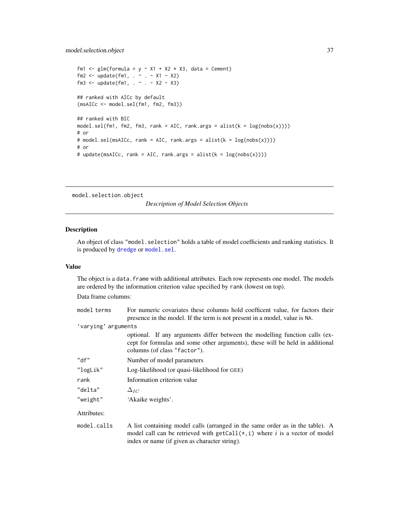```
fm1 <- glm(formula = y \sim X1 + X2 \star X3, data = Cement)
fm2 <- update(fm1, . ~ . - X1 - X2)
fm3 <- update(fm1, . ~ . - X2 - X3)
## ranked with AICc by default
(msAICc <- model.sel(fm1, fm2, fm3))
## ranked with BIC
model.sel(fm1, fm2, fm3, rank = AIC, rank.args = alist(k = log(nobs(x)))))
# or
# model.sel(msAICc, rank = AIC, rank.args = alist(k = log(nobs(x))))
# or
# update(msAICc, rank = AIC, rank.args = alist(k = log(nobs(x)))))
```

```
model.selection.object
```
*Description of Model Selection Objects*

# Description

An object of class "model.selection" holds a table of model coefficients and ranking statistics. It is produced by [dredge](#page-13-0) or [model.sel](#page-34-0).

# Value

The object is a data. frame with additional attributes. Each row represents one model. The models are ordered by the information criterion value specified by rank (lowest on top).

Data frame columns:

| model terms         | For numeric covariates these columns hold coefficent value, for factors their                                                                                                                                   |
|---------------------|-----------------------------------------------------------------------------------------------------------------------------------------------------------------------------------------------------------------|
|                     | presence in the model. If the term is not present in a model, value is NA.                                                                                                                                      |
| 'varying' arguments |                                                                                                                                                                                                                 |
|                     | optional. If any arguments differ between the modelling function calls (ex-<br>cept for formulas and some other arguments), these will be held in additional<br>columns (of class "factor").                    |
| "df"                | Number of model parameters                                                                                                                                                                                      |
| "logLik"            | Log-likelihood (or quasi-likelihood for GEE)                                                                                                                                                                    |
| rank                | Information criterion value                                                                                                                                                                                     |
| "delta"             | $\Delta_{IC}$                                                                                                                                                                                                   |
| "weight"            | 'Akaike weights'.                                                                                                                                                                                               |
| Attributes:         |                                                                                                                                                                                                                 |
| model.calls         | A list containing model calls (arranged in the same order as in the table). A<br>model call can be retrieved with $getCall(*, i)$ where i is a vector of model<br>index or name (if given as character string). |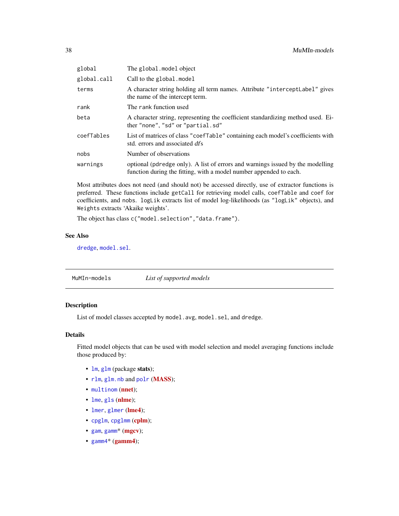<span id="page-37-0"></span>

| global      | The global.model object                                                                                                                              |
|-------------|------------------------------------------------------------------------------------------------------------------------------------------------------|
| global.call | Call to the global. model                                                                                                                            |
| terms       | A character string holding all term names. Attribute "intercept Label" gives<br>the name of the intercept term.                                      |
| rank        | The rank function used                                                                                                                               |
| beta        | A character string, representing the coefficient standardizing method used. Ei-<br>ther "none", "sd" or "partial.sd"                                 |
| coefTables  | List of matrices of class "coef Table" containing each model's coefficients with<br>std. errors and associated dfs                                   |
| nobs        | Number of observations                                                                                                                               |
| warnings    | optional (pdredge only). A list of errors and warnings issued by the modelling<br>function during the fitting, with a model number appended to each. |

Most attributes does not need (and should not) be accessed directly, use of extractor functions is preferred. These functions include getCall for retrieving model calls, coefTable and coef for coefficients, and nobs. logLik extracts list of model log-likelihoods (as "logLik" objects), and Weights extracts 'Akaike weights'.

The object has class c("model.selection","data.frame").

# See Also

[dredge](#page-13-0), [model.sel](#page-34-0).

MuMIn-models *List of supported models*

# Description

List of model classes accepted by model.avg, model.sel, and dredge.

# Details

Fitted model objects that can be used with model selection and model averaging functions include those produced by:

- [lm](#page-0-0), [glm](#page-0-0) (package stats);
- [rlm](#page-0-0), [glm.nb](#page-0-0) and [polr](#page-0-0) ([MASS](https://cran.r-project.org/package=MASS));
- [multinom](#page-0-0) ([nnet](https://cran.r-project.org/package=nnet));
- [lme](#page-0-0), [gls](#page-0-0) ([nlme](https://cran.r-project.org/package=nlme));
- [lmer](#page-0-0), [glmer](#page-0-0) ([lme4](https://cran.r-project.org/package=lme4));
- [cpglm](#page-0-0), [cpglmm](#page-0-0) ([cplm](https://cran.r-project.org/package=cplm));
- [gam](#page-0-0), [gamm](#page-0-0)<sup>\*</sup> ([mgcv](https://cran.r-project.org/package=mgcv));
- $gamma*(gamma)$ ;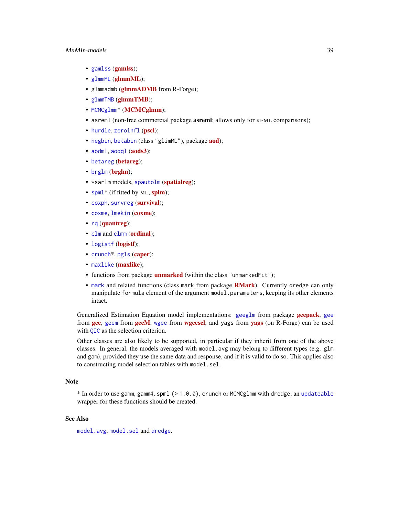# <span id="page-38-0"></span>MuMIn-models 39

- [gamlss](https://cran.r-project.org/package=gamlss) (gamlss);
- [glmmML](https://cran.r-project.org/package=glmmML) (glmmML);
- glmmadmb ([glmmADMB](http://glmmadmb.r-forge.r-project.org/) from R-Forge);
- [glmmTMB](https://cran.r-project.org/package=glmmTMB) (glmmTMB);
- [MCMCglmm](https://cran.r-project.org/package=MCMCglmm)\* (MCMCglmm);
- asreml (non-free commercial package **asreml**; allows only for REML comparisons);
- [hurdle](#page-0-0), [zeroinfl](#page-0-0) ([pscl](https://cran.r-project.org/package=pscl));
- [negbin](#page-0-0), [betabin](#page-0-0) (class "glimML"), package **[aod](https://cran.r-project.org/package=aod)**);
- [aodml](#page-0-0), [aodql](#page-0-0) ([aods3](https://cran.r-project.org/package=aods3));
- [betareg](https://cran.r-project.org/package=betareg) (betareg);
- [brglm](https://cran.r-project.org/package=brglm) (brglm);
- \*sarlm models, [spautolm](#page-0-0) ([spatialreg](https://cran.r-project.org/package=spatialreg));
- [spml](#page-0-0)<sup>\*</sup> (if fitted by ML, [splm](https://cran.r-project.org/package=splm));
- [coxph](#page-0-0), [survreg](#page-0-0) ([survival](https://cran.r-project.org/package=survival));
- [coxme](#page-0-0), [lmekin](#page-0-0) ([coxme](https://cran.r-project.org/package=coxme));
- [rq](#page-0-0) ([quantreg](https://cran.r-project.org/package=quantreg));
- [clm](#page-0-0) and [clmm](#page-0-0) ([ordinal](https://cran.r-project.org/package=ordinal));
- [logistf](https://cran.r-project.org/package=logistf) (logistf);
- [crunch](#page-0-0)\*, [pgls](#page-0-0) ([caper](https://cran.r-project.org/package=caper));
- [maxlike](https://cran.r-project.org/package=maxlike) (maxlike);
- functions from package **[unmarked](https://cran.r-project.org/package=unmarked)** (within the class "unmarkedFit");
- [mark](#page-0-0) and related functions (class mark from package **[RMark](https://cran.r-project.org/package=RMark)**). Currently dredge can only manipulate formula element of the argument model.parameters, keeping its other elements intact.

Generalized Estimation Equation model implementations: [geeglm](#page-0-0) from package [geepack](https://cran.r-project.org/package=geepack), [gee](#page-0-0) from [gee](https://cran.r-project.org/package=gee), [geem](#page-0-0) from [geeM](https://cran.r-project.org/package=geeM), [wgee](#page-0-0) from [wgeesel](https://cran.r-project.org/package=wgeesel), and [yags](http://yags.r-forge.r-project.org/) from yags (on R-Forge) can be used with [QIC](#page-49-0) as the selection criterion.

Other classes are also likely to be supported, in particular if they inherit from one of the above classes. In general, the models averaged with model, avg may belong to different types (e.g.  $g/m$ and gam), provided they use the same data and response, and if it is valid to do so. This applies also to constructing model selection tables with model.sel.

#### Note

\* In order to use gamm, gamm4, spml (> 1.0.0), crunch or MCMCglmm with dredge, an [updateable](#page-65-0) wrapper for these functions should be created.

# See Also

[model.avg](#page-31-0), [model.sel](#page-34-0) and [dredge](#page-13-0).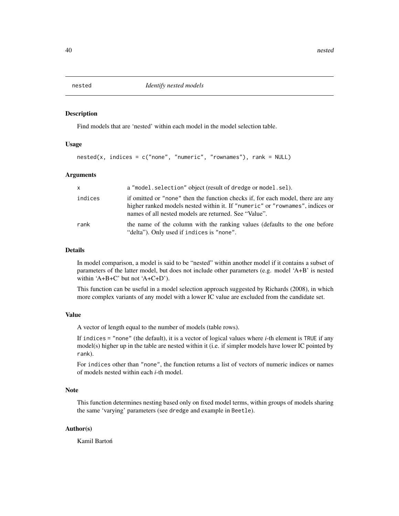<span id="page-39-0"></span>

### Description

Find models that are 'nested' within each model in the model selection table.

#### Usage

```
nested(x, indices = c("none", "numeric", "rownames"), rank = NULL)
```
#### Arguments

| $\times$ | a "model.selection" object (result of dredge or model.sel).                                                                                                                                                               |
|----------|---------------------------------------------------------------------------------------------------------------------------------------------------------------------------------------------------------------------------|
| indices  | if omitted or "none" then the function checks if, for each model, there are any<br>higher ranked models nested within it. If "numeric" or "rownames", indices or<br>names of all nested models are returned. See "Value". |
| rank     | the name of the column with the ranking values (defaults to the one before<br>"delta"). Only used if indices is "none".                                                                                                   |

# Details

In model comparison, a model is said to be "nested" within another model if it contains a subset of parameters of the latter model, but does not include other parameters (e.g. model 'A+B' is nested within 'A+B+C' but not 'A+C+D').

This function can be useful in a model selection approach suggested by Richards (2008), in which more complex variants of any model with a lower IC value are excluded from the candidate set.

# Value

A vector of length equal to the number of models (table rows).

If indices = "none" (the default), it is a vector of logical values where *i*-th element is TRUE if any model(s) higher up in the table are nested within it (i.e. if simpler models have lower IC pointed by rank).

For indices other than "none", the function returns a list of vectors of numeric indices or names of models nested within each *i*-th model.

# Note

This function determines nesting based only on fixed model terms, within groups of models sharing the same 'varying' parameters (see dredge and example in Beetle).

# Author(s)

Kamil Bartoń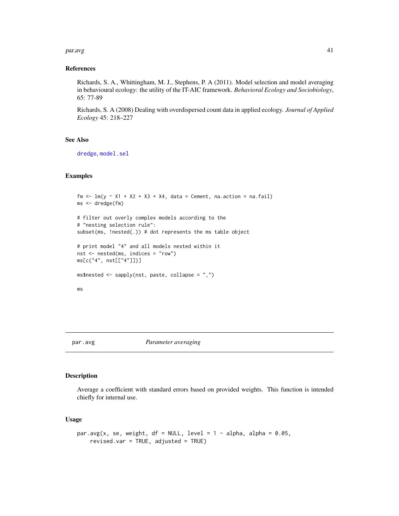#### <span id="page-40-1"></span> $paravg$  and  $41$

# References

Richards, S. A., Whittingham, M. J., Stephens, P. A (2011). Model selection and model averaging in behavioural ecology: the utility of the IT-AIC framework. *Behavioral Ecology and Sociobiology*, 65: 77-89

Richards, S. A (2008) Dealing with overdispersed count data in applied ecology. *Journal of Applied Ecology* 45: 218–227

# See Also

[dredge](#page-13-0), [model.sel](#page-34-0)

# Examples

```
fm \leq Im(y \sim X1 + X2 + X3 + X4, data = Cement, na. action = na. fail)ms <- dredge(fm)
# filter out overly complex models according to the
# "nesting selection rule":
subset(ms, !nested(.)) # dot represents the ms table object
# print model "4" and all models nested within it
nst <- nested(ms, indices = "row")
ms[c("4", nst[["4"]])]
ms$nested \leq sapply(nst, paste, collapse = ",")
ms
```
#### <span id="page-40-0"></span>par.avg *Parameter averaging*

# Description

Average a coefficient with standard errors based on provided weights. This function is intended chiefly for internal use.

#### Usage

```
par.avg(x, se, weight, df = NULL, level = 1 - alpha, alpha = 0.05,
    revised.var = TRUE, adjusted = TRUE)
```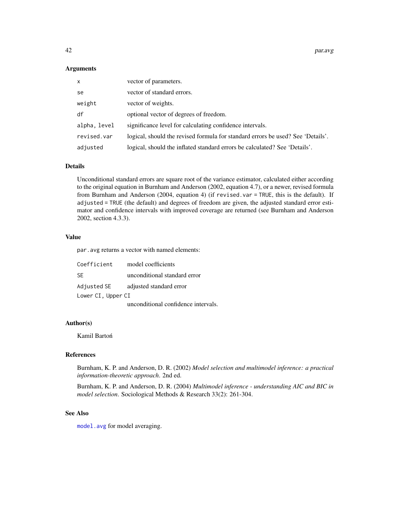42 **par.avg** par.avg par.avg par.avg par.avg par.avg par.avg par.avg par.avg par.avg par.avg par.avg par.avg par.avg par.avg par.avg par.avg par.avg par.avg par.avg par.avg par.avg par.avg par.avg par.avg par.avg par.avg p

#### Arguments

| X            | vector of parameters.                                                           |
|--------------|---------------------------------------------------------------------------------|
| se           | vector of standard errors.                                                      |
| weight       | vector of weights.                                                              |
| df           | optional vector of degrees of freedom.                                          |
| alpha, level | significance level for calculating confidence intervals.                        |
| revised.var  | logical, should the revised formula for standard errors be used? See 'Details'. |
| adjusted     | logical, should the inflated standard errors be calculated? See 'Details'.      |

#### Details

Unconditional standard errors are square root of the variance estimator, calculated either according to the original equation in Burnham and Anderson (2002, equation 4.7), or a newer, revised formula from Burnham and Anderson (2004, equation 4) (if revised.var = TRUE, this is the default). If adjusted = TRUE (the default) and degrees of freedom are given, the adjusted standard error estimator and confidence intervals with improved coverage are returned (see Burnham and Anderson 2002, section 4.3.3).

# Value

par.avg returns a vector with named elements:

| Coefficient        | model coefficients                  |  |
|--------------------|-------------------------------------|--|
| -SE                | unconditional standard error        |  |
| Adjusted SE        | adjusted standard error             |  |
| Lower CI, Upper CI |                                     |  |
|                    | unconditional confidence intervals. |  |

# Author(s)

Kamil Bartoń

# References

Burnham, K. P. and Anderson, D. R. (2002) *Model selection and multimodel inference: a practical information-theoretic approach*. 2nd ed.

Burnham, K. P. and Anderson, D. R. (2004) *Multimodel inference - understanding AIC and BIC in model selection*. Sociological Methods & Research 33(2): 261-304.

# See Also

[model.avg](#page-31-0) for model averaging.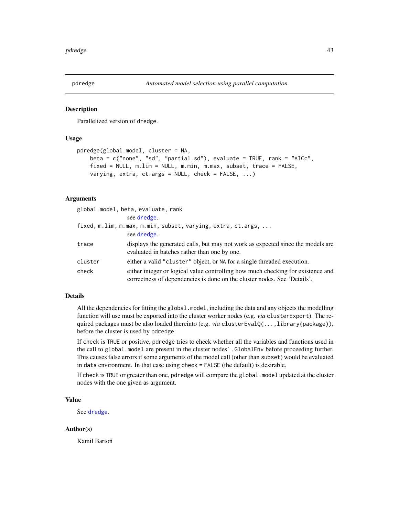<span id="page-42-0"></span>

# Description

Parallelized version of dredge.

# Usage

```
pdredge(global.model, cluster = NA,
   beta = c("none", "sd", "partial.sd"), evaluate = TRUE, rank = "AICc",
   fixed = NULL, m.lim = NULL, m.min, m.max, subset, trace = FALSE,
   varying, extra, ct.args = NULL, check = FALSE, ...)
```
# Arguments

|         | global.model, beta, evaluate, rank                                                                                                                          |
|---------|-------------------------------------------------------------------------------------------------------------------------------------------------------------|
|         | see dredge.                                                                                                                                                 |
|         | fixed, m.lim, m.max, m.min, subset, varying, extra, ct.args,                                                                                                |
|         | see dredge.                                                                                                                                                 |
| trace   | displays the generated calls, but may not work as expected since the models are<br>evaluated in batches rather than one by one.                             |
| cluster | either a valid "cluster" object, or NA for a single threaded execution.                                                                                     |
| check   | either integer or logical value controlling how much checking for existence and<br>correctness of dependencies is done on the cluster nodes. See 'Details'. |

#### Details

All the dependencies for fitting the global.model, including the data and any objects the modelling function will use must be exported into the cluster worker nodes (e.g. *via* clusterExport). The required packages must be also loaded thereinto (e.g. *via* clusterEvalQ(...,library(package)), before the cluster is used by pdredge.

If check is TRUE or positive, pdredge tries to check whether all the variables and functions used in the call to global.model are present in the cluster nodes' .GlobalEnv before proceeding further. This causes false errors if some arguments of the model call (other than subset) would be evaluated in data environment. In that case using check = FALSE (the default) is desirable.

If check is TRUE or greater than one, pdredge will compare the global.model updated at the cluster nodes with the one given as argument.

# Value

See [dredge](#page-13-0).

# Author(s)

Kamil Bartoń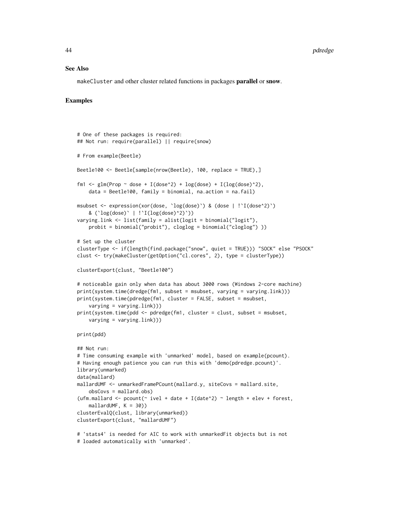#### See Also

makeCluster and other cluster related functions in packages parallel or snow.

# Examples

```
# One of these packages is required:
## Not run: require(parallel) || require(snow)
# From example(Beetle)
Beetle100 <- Beetle[sample(nrow(Beetle), 100, replace = TRUE),]
fm1 <- glm(Prop ~ dose + I(dose^2) + log(dose) + I(log(dose)^2),
    data = Beetle100, family = binomial, na.action = na.fail)
msubset <- expression(xor(dose, `log(dose)`) & (dose | !`I(dose^2)`)
    & (`log(dose)` | !`I(log(dose)^2)`))
varying.link <- list(family = alist(logit = binomial("logit"),
    probit = binomial("probit"), cloglog = binomial("cloglog") ))
# Set up the cluster
clusterType <- if(length(find.package("snow", quiet = TRUE))) "SOCK" else "PSOCK"
clust <- try(makeCluster(getOption("cl.cores", 2), type = clusterType))
clusterExport(clust, "Beetle100")
# noticeable gain only when data has about 3000 rows (Windows 2-core machine)
print(system.time(dredge(fm1, subset = msubset, varying = varying.link)))
print(system.time(pdredge(fm1, cluster = FALSE, subset = msubset,
    varying = varying.link)))
print(system.time(pdd <- pdredge(fm1, cluster = clust, subset = msubset,
    varying = varying.link)))
print(pdd)
## Not run:
# Time consuming example with 'unmarked' model, based on example(pcount).
# Having enough patience you can run this with 'demo(pdredge.pcount)'.
library(unmarked)
data(mallard)
mallardUMF <- unmarkedFramePCount(mallard.y, siteCovs = mallard.site,
    obsCovs = mallard.obs)
(ufm.mallard <- pcount(\sim ivel + date + I(date\textdegree2) \sim length + elev + forest,
    mallardUMF, K = 30))
clusterEvalQ(clust, library(unmarked))
clusterExport(clust, "mallardUMF")
# 'stats4' is needed for AIC to work with unmarkedFit objects but is not
# loaded automatically with 'unmarked'.
```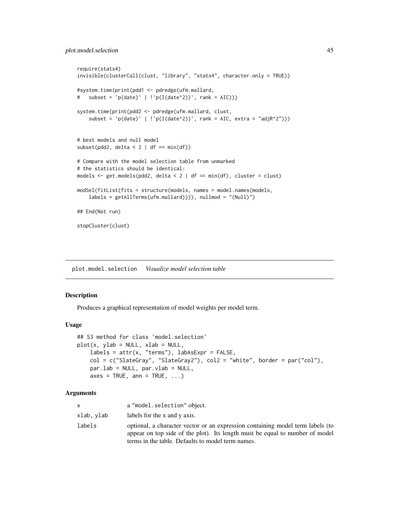```
require(stats4)
invisible(clusterCall(clust, "library", "stats4", character.only = TRUE))
#system.time(print(pdd1 <- pdredge(ufm.mallard,
# subset = \pi(\text{date}) \mid \text{!`p(I(date'2))`}, \text{rank} = \text{AIC})).system.time(print(pdd2 <- pdredge(ufm.mallard, clust,
    subset = \pi(\text{date}) \mid \text{!`p(I(date^2))`}, \text{rank} = \text{AIC}, \text{extra} = \text{"adjR^2"))}# best models and null model
subset(pdd2, delta < 2 \mid df == min(df))
# Compare with the model selection table from unmarked
# the statistics should be identical:
models \le get.models(pdd2, delta \le 2 | df == min(df), cluster = clust)
modSel(fitList(fits = structure(models, names = model.names(models,
    labels = getAllTerms(ufm.mallard)))), nullmod = "(Null)")
## End(Not run)
stopCluster(clust)
```
plot.model.selection *Visualize model selection table*

# **Description**

Produces a graphical representation of model weights per model term.

#### Usage

```
## S3 method for class 'model.selection'
plot(x, ylab = NULL, xlab = NULL,labels = attr(x, "terms"), labASExpr = FALSE,col = c("SlateGray", "SlateGray2"), col2 = "white", border = par("col"),par.lab = NULL, par.vlab = NULL,
   axes = TRUE, ann = TRUE, ...)
```
#### Arguments

|            | a "model.selection" object.                                                                                                                                                                                         |
|------------|---------------------------------------------------------------------------------------------------------------------------------------------------------------------------------------------------------------------|
| xlab, ylab | labels for the x and y axis.                                                                                                                                                                                        |
| labels     | optional, a character vector or an expression containing model term labels (to<br>appear on top side of the plot). Its length must be equal to number of model<br>terms in the table. Defaults to model term names. |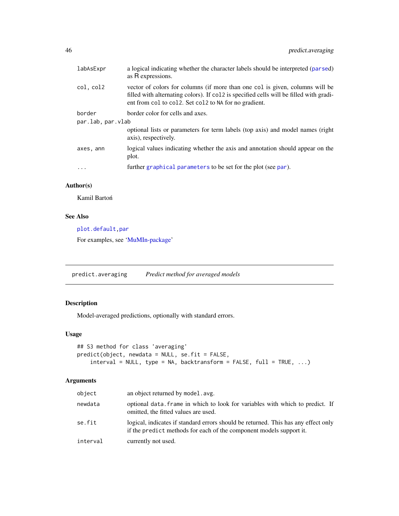<span id="page-45-0"></span>

| labAsExpr                                                       | a logical indicating whether the character labels should be interpreted (parsed)<br>as R expressions.                                                                                                                              |
|-----------------------------------------------------------------|------------------------------------------------------------------------------------------------------------------------------------------------------------------------------------------------------------------------------------|
| col, col2                                                       | vector of colors for columns (if more than one col is given, columns will be<br>filled with alternating colors). If collect is specified cells will be filled with gradi-<br>ent from col to col2. Set col2 to NA for no gradient. |
| border<br>border color for cells and axes.<br>par.lab, par.vlab |                                                                                                                                                                                                                                    |
|                                                                 | optional lists or parameters for term labels (top axis) and model names (right<br>axis), respectively.                                                                                                                             |
| axes, ann                                                       | logical values indicating whether the axis and annotation should appear on the<br>plot.                                                                                                                                            |
| .                                                               | further graphical parameters to be set for the plot (see par).                                                                                                                                                                     |

# Author(s)

Kamil Bartoń

# See Also

[plot.default,par](#page-0-0)

For examples, see ['MuMIn-package'](#page-2-0)

predict.averaging *Predict method for averaged models*

# Description

Model-averaged predictions, optionally with standard errors.

# Usage

```
## S3 method for class 'averaging'
predict(object, newdata = NULL, se.fit = FALSE,
    interval = NULL, type = NA, backtransform = FALSE, full = TRUE, ...)
```
# Arguments

| object   | an object returned by model. avg.                                                                                                                         |
|----------|-----------------------------------------------------------------------------------------------------------------------------------------------------------|
| newdata  | optional data. Frame in which to look for variables with which to predict. If<br>omitted, the fitted values are used.                                     |
| se.fit   | logical, indicates if standard errors should be returned. This has any effect only<br>if the predict methods for each of the component models support it. |
| interval | currently not used.                                                                                                                                       |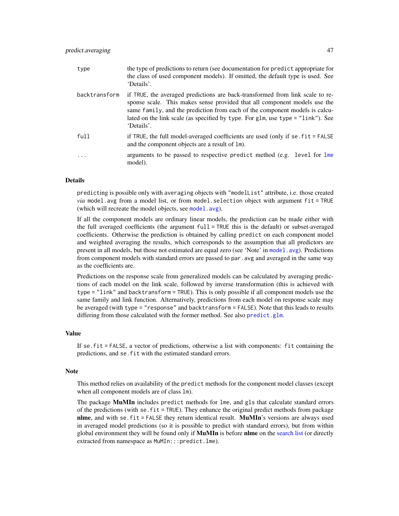| type          | the type of predictions to return (see documentation for predict appropriate for<br>the class of used component models). If omitted, the default type is used. See<br>'Details'.                                                                                                                                                           |
|---------------|--------------------------------------------------------------------------------------------------------------------------------------------------------------------------------------------------------------------------------------------------------------------------------------------------------------------------------------------|
| backtransform | if TRUE, the averaged predictions are back-transformed from link scale to re-<br>sponse scale. This makes sense provided that all component models use the<br>same family, and the prediction from each of the component models is calcu-<br>lated on the link scale (as specified by type. For glm, use type = "link"). See<br>'Details'. |
| full          | if TRUE, the full model-averaged coefficients are used (only if $se$ . $fit = FALSE$<br>and the component objects are a result of 1m).                                                                                                                                                                                                     |
| .             | arguments to be passed to respective predict method (e.g. level for lme<br>model).                                                                                                                                                                                                                                                         |

#### Details

predicting is possible only with averaging objects with "modelList" attribute, i.e. those created *via* model.avg from a model list, or from model.selection object with argument fit = TRUE (which will recreate the model objects, see [model.avg](#page-31-0)).

If all the component models are ordinary linear models, the prediction can be made either with the full averaged coefficients (the argument full = TRUE this is the default) or subset-averaged coefficients. Otherwise the prediction is obtained by calling predict on each component model and weighted averaging the results, which corresponds to the assumption that all predictors are present in all models, but those not estimated are equal zero (see 'Note' in [model.avg](#page-31-0)). Predictions from component models with standard errors are passed to par.avg and averaged in the same way as the coefficients are.

Predictions on the response scale from generalized models can be calculated by averaging predictions of each model on the link scale, followed by inverse transformation (this is achieved with type = "link" and backtransform = TRUE). This is only possible if all component models use the same family and link function. Alternatively, predictions from each model on response scale may be averaged (with type = "response" and backtransform = FALSE). Note that this leads to results differing from those calculated with the former method. See also [predict.glm](#page-0-0).

#### Value

If se.fit = FALSE, a vector of predictions, otherwise a list with components: fit containing the predictions, and se.fit with the estimated standard errors.

#### **Note**

This method relies on availability of the predict methods for the component model classes (except when all component models are of class lm).

The package MuMIn includes predict methods for lme, and gls that calculate standard errors of the predictions (with se.  $fit = TRUE$ ). They enhance the original predict methods from package nlme, and with se.  $fit = FALEE$  they return identical result. MuMIn's versions are always used in averaged model predictions (so it is possible to predict with standard errors), but from within global environment they will be found only if **MuMIn** is before nlme on the [search list](#page-0-0) (or directly extracted from namespace as MuMIn:::predict.lme).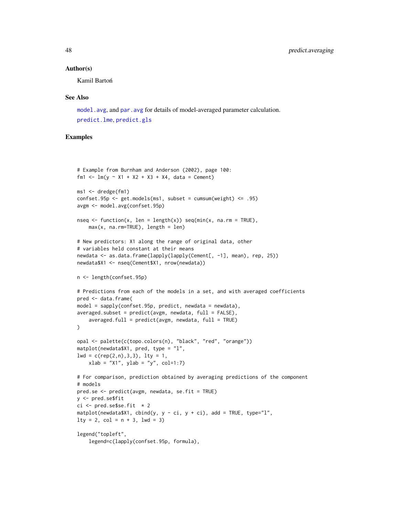#### Author(s)

Kamil Bartoń

#### See Also

[model.avg](#page-31-0), and [par.avg](#page-40-0) for details of model-averaged parameter calculation. [predict.lme](#page-0-0), [predict.gls](#page-0-0)

# Examples

```
# Example from Burnham and Anderson (2002), page 100:
fm1 <- lm(y \sim X1 + X2 + X3 + X4, data = Cement)
ms1 <- dredge(fm1)
confset.95p \leftarrow get.models(ms1, subset = cumsum(weight) \leftarrow .95)avgm <- model.avg(confset.95p)
nseq \leq function(x, len = length(x)) seq(min(x, na.rm = TRUE),
    max(x, na.rm=TRUE), length = len)
# New predictors: X1 along the range of original data, other
# variables held constant at their means
newdata <- as.data.frame(lapply(lapply(Cement[, -1], mean), rep, 25))
newdata$X1 <- nseq(Cement$X1, nrow(newdata))
n <- length(confset.95p)
# Predictions from each of the models in a set, and with averaged coefficients
pred <- data.frame(
model = sapply(confset.95p, predict, newdata = newdata),
averaged.subset = predict(avgm, newdata, full = FALSE),averaged.full = predict(avgm, newdata, full = TRUE))
opal <- palette(c(topo.colors(n), "black", "red", "orange"))
matplot(newdata$X1, pred, type = "l",
lwd = c(rep(2, n), 3, 3), lty = 1,xlab = "X1", ylab = "y", col=1:7)# For comparison, prediction obtained by averaging predictions of the component
# models
pred.se <- predict(avgm, newdata, se.fit = TRUE)
y <- pred.se$fit
ci \leq pred.se$se.fit \neq 2
mathlot(new data $X1, chind(y, y - ci, y + ci), add = TRUE, type="1",lty = 2, col = n + 3, lwd = 3)
legend("topleft",
    legend=c(lapply(confset.95p, formula),
```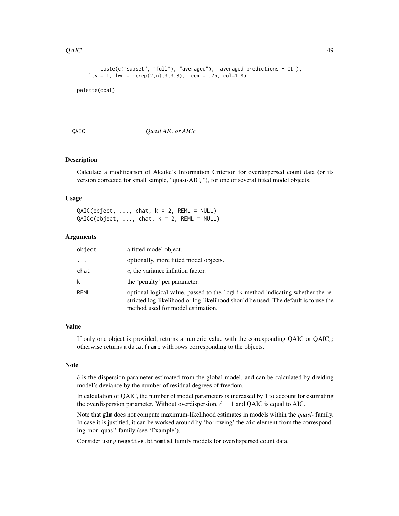#### <span id="page-48-0"></span> $QAIC$  49

```
paste(c("subset", "full"), "averaged"), "averaged predictions + CI"),
lty = 1, lwd = c(rep(2,n),3,3,3), cex = .75, col=1:8)
```
palette(opal)

QAIC *Quasi AIC or AICc*

# Description

Calculate a modification of Akaike's Information Criterion for overdispersed count data (or its version corrected for small sample, "quasi- $AIC<sub>c</sub>$ "), for one or several fitted model objects.

# Usage

 $QAIC(object, ..., char, k = 2, REML = NULL)$  $QAICc(object, ..., chat, k = 2, REML = NULL)$ 

# Arguments

| object  | a fitted model object.                                                                                                                                                                                     |
|---------|------------------------------------------------------------------------------------------------------------------------------------------------------------------------------------------------------------|
| $\cdot$ | optionally, more fitted model objects.                                                                                                                                                                     |
| chat    | $\hat{c}$ , the variance inflation factor.                                                                                                                                                                 |
| k       | the 'penalty' per parameter.                                                                                                                                                                               |
| REML    | optional logical value, passed to the logLik method indicating whether the re-<br>stricted log-likelihood or log-likelihood should be used. The default is to use the<br>method used for model estimation. |

# Value

If only one object is provided, returns a numeric value with the corresponding  $QAIC$  or  $QAIC<sub>c</sub>$ ; otherwise returns a data.frame with rows corresponding to the objects.

# Note

 $\hat{c}$  is the dispersion parameter estimated from the global model, and can be calculated by dividing model's deviance by the number of residual degrees of freedom.

In calculation of QAIC, the number of model parameters is increased by 1 to account for estimating the overdispersion parameter. Without overdispersion,  $\hat{c} = 1$  and QAIC is equal to AIC.

Note that glm does not compute maximum-likelihood estimates in models within the *quasi-* family. In case it is justified, it can be worked around by 'borrowing' the aic element from the corresponding 'non-quasi' family (see 'Example').

Consider using negative.binomial family models for overdispersed count data.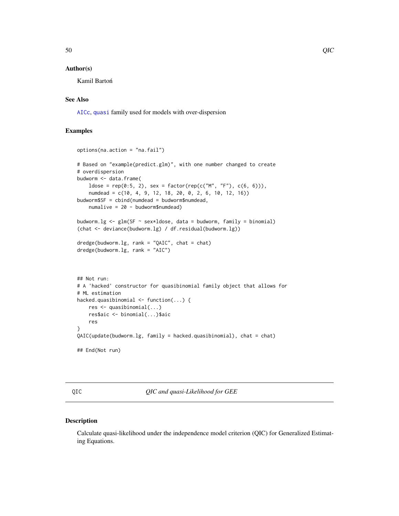#### <span id="page-49-1"></span>Author(s)

Kamil Bartoń

# See Also

[AICc](#page-3-0), [quasi](#page-0-0) family used for models with over-dispersion

# Examples

```
options(na.action = "na.fail")
# Based on "example(predict.glm)", with one number changed to create
# overdispersion
budworm <- data.frame(
   ldose = rep(0:5, 2), sex = factor(rep(c("M", "F"), c(6, 6))),numdead = c(10, 4, 9, 12, 18, 20, 0, 2, 6, 10, 12, 16))
budworm$SF = cbind(numdead = budworm$numdead,
   numalive = 20 - budworm$numdead)
budworm.lg \leq glm(SF \sim sex*ldose, data = budworm, family = binomial)
(chat <- deviance(budworm.lg) / df.residual(budworm.lg))
dredge(budworm.lg, rank = "QAIC", chat = chat)
dredge(budworm.lg, rank = "AIC")
## Not run:
# A 'hacked' constructor for quasibinomial family object that allows for
# ML estimation
hacked.quasibinomial <- function(...) {
   res <- quasibinomial(...)
   res$aic <- binomial(...)$aic
   res
}
QAIC(update(budworm.lg, family = hacked.quasibinomial), chat = chat)
## End(Not run)
```
<span id="page-49-0"></span>QIC *QIC and quasi-Likelihood for GEE*

# Description

Calculate quasi-likelihood under the independence model criterion (QIC) for Generalized Estimating Equations.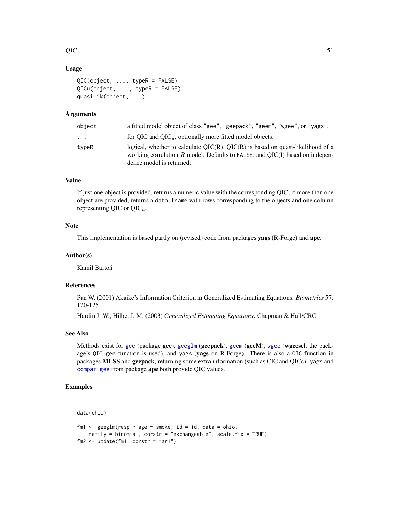# $QIC$  51

# Usage

```
QIC(object, ..., typeR = FALSE)
QICu(object, ..., typeR = FALSE)
quasiLik(object, ...)
```
# Arguments

| object                  | a fitted model object of class "gee", "geepack", "geem", "wgee", or "yags".                                                                                                                     |
|-------------------------|-------------------------------------------------------------------------------------------------------------------------------------------------------------------------------------------------|
| $\cdot$ $\cdot$ $\cdot$ | for QIC and $QIC_u$ , optionally more fitted model objects.                                                                                                                                     |
| typeR                   | logical, whether to calculate $QIC(R)$ . $QIC(R)$ is based on quasi-likelihood of a<br>working correlation R model. Defaults to FALSE, and OIC(I) based on indepen-<br>dence model is returned. |

# Value

If just one object is provided, returns a numeric value with the corresponding QIC; if more than one object are provided, returns a data.frame with rows corresponding to the objects and one column representing QIC or  $QIC_u$ .

# Note

This implementation is based partly on (revised) code from packages yags (R-Forge) and ape.

# Author(s)

Kamil Bartoń

#### References

Pan W. (2001) Akaike's Information Criterion in Generalized Estimating Equations. *Biometrics* 57: 120-125

Hardin J. W., Hilbe, J. M. (2003) *Generalized Estimating Equations*. Chapman & Hall/CRC

# See Also

Methods exist for [gee](#page-0-0) (package gee), [geeglm](#page-0-0) (geepack), [geem](#page-0-0) (geeM), [wgee](#page-0-0) (wgeesel, the package's QIC.gee function is used), and yags (yags on R-Forge). There is also a QIC function in packages MESS and geepack, returning some extra information (such as CIC and QICc). yags and [compar.gee](#page-0-0) from package ape both provide QIC values.

# Examples

data(ohio)

```
fm1 <- geeglm(resp \sim age * smoke, id = id, data = ohio,
   family = binomial, corstr = "exchangeable", scale.fix = TRUE)
fm2 \leq update(fm1, corstr = "ar1")
```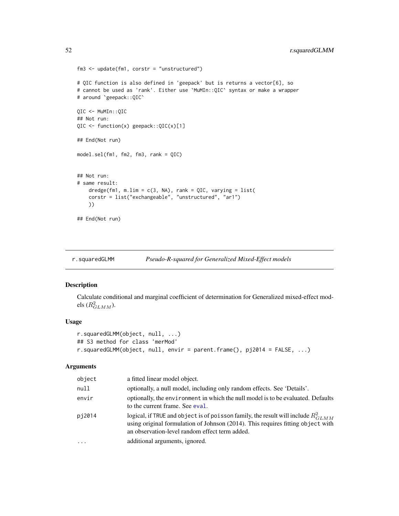```
fm3 <- update(fm1, corstr = "unstructured")
# QIC function is also defined in 'geepack' but is returns a vector[6], so
# cannot be used as 'rank'. Either use `MuMIn::QIC` syntax or make a wrapper
# around `geepack::QIC`
QIC <- MuMIn::QIC
## Not run:
QIC <- function(x) geepack::QIC(x)[1]
## End(Not run)
model.sel(fm1, fm2, fm3, rank = QIC)
## Not run:
# same result:
   dredge(fm1, m.lim = c(3, NA), rank = QIC, varying = list(
    corstr = list("exchangeable", "unstructured", "ar1")
   ))
## End(Not run)
```
<span id="page-51-0"></span>r.squaredGLMM *Pseudo-R-squared for Generalized Mixed-Effect models*

# Description

Calculate conditional and marginal coefficient of determination for Generalized mixed-effect models  $(R_{GLMM}^2)$ .

# Usage

```
r.squaredGLMM(object, null, ...)
## S3 method for class 'merMod'
r.squaredGLMM(object, null, envir = parent.frame(), pj2014 = FALSE, ...)
```
# Arguments

| object | a fitted linear model object.                                                                                                                                                                                               |
|--------|-----------------------------------------------------------------------------------------------------------------------------------------------------------------------------------------------------------------------------|
| null   | optionally, a null model, including only random effects. See 'Details'.                                                                                                                                                     |
| envir  | optionally, the environment in which the null model is to be evaluated. Defaults<br>to the current frame. See eval.                                                                                                         |
| pi2014 | logical, if TRUE and object is of poisson family, the result will include $R_{GLMM}^2$<br>using original formulation of Johnson (2014). This requires fitting object with<br>an observation-level random effect term added. |
| .      | additional arguments, ignored.                                                                                                                                                                                              |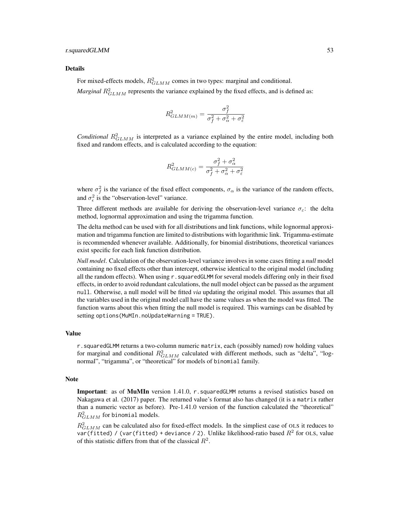#### Details

For mixed-effects models,  $R_{GLMM}^2$  comes in two types: marginal and conditional.

*Marginal*  $R_{GLMM}^2$  represents the variance explained by the fixed effects, and is defined as:

$$
R_{GLMM(m)}^2 = \frac{\sigma_f^2}{\sigma_f^2 + \sigma_\alpha^2 + \sigma_\varepsilon^2}
$$

*Conditional*  $R_{GLMM}^2$  is interpreted as a variance explained by the entire model, including both fixed and random effects, and is calculated according to the equation:

$$
R_{GLMM(c)}^2 = \frac{\sigma_f^2 + \sigma_\alpha^2}{\sigma_f^2 + \sigma_\alpha^2 + \sigma_\varepsilon^2}
$$

where  $\sigma_f^2$  is the variance of the fixed effect components,  $\sigma_\alpha$  is the variance of the random effects, and  $\sigma_{\epsilon}^2$  is the "observation-level" variance.

Three different methods are available for deriving the observation-level variance  $\sigma_{\varepsilon}$ : the delta method, lognormal approximation and using the trigamma function.

The delta method can be used with for all distributions and link functions, while lognormal approximation and trigamma function are limited to distributions with logarithmic link. Trigamma-estimate is recommended whenever available. Additionally, for binomial distributions, theoretical variances exist specific for each link function distribution.

*Null model*. Calculation of the observation-level variance involves in some cases fitting a *null* model containing no fixed effects other than intercept, otherwise identical to the original model (including all the random effects). When using r.squaredGLMM for several models differing only in their fixed effects, in order to avoid redundant calculations, the null model object can be passed as the argument null. Otherwise, a null model will be fitted *via* updating the original model. This assumes that all the variables used in the original model call have the same values as when the model was fitted. The function warns about this when fitting the null model is required. This warnings can be disabled by setting options(MuMIn.noUpdateWarning = TRUE).

# Value

r.squaredGLMM returns a two-column numeric matrix, each (possibly named) row holding values for marginal and conditional  $R_{GLMM}^2$  calculated with different methods, such as "delta", "lognormal", "trigamma", or "theoretical" for models of binomial family.

#### **Note**

**Important:** as of **MuMIn** version 1.41.0, r. squaredGLMM returns a revised statistics based on Nakagawa et al. (2017) paper. The returned value's format also has changed (it is a matrix rather than a numeric vector as before). Pre-1.41.0 version of the function calculated the "theoretical"  $R_{GLMM}^2$  for binomial models.

 $R_{GLMM}^2$  can be calculated also for fixed-effect models. In the simpliest case of OLS it reduces to var(fitted) / (var(fitted) + deviance / 2). Unlike likelihood-ratio based  $R^2$  for OLS, value of this statistic differs from that of the classical  $R^2$ .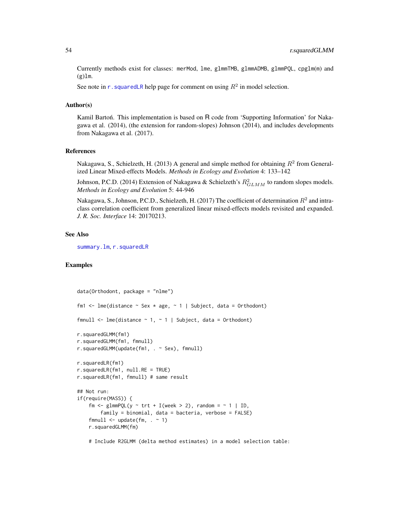Currently methods exist for classes: merMod, lme, glmmTMB, glmmADMB, glmmPQL, cpglm(m) and  $(g)$ lm.

See note in r. squaredLR help page for comment on using  $R^2$  in model selection.

# Author(s)

Kamil Barton. This implementation is based on  $R$  code from 'Supporting Information' for Nakagawa et al. (2014), (the extension for random-slopes) Johnson (2014), and includes developments from Nakagawa et al. (2017).

#### References

Nakagawa, S., Schielzeth, H. (2013) A general and simple method for obtaining  $R^2$  from Generalized Linear Mixed-effects Models. *Methods in Ecology and Evolution* 4: 133–142

Johnson, P.C.D. (2014) Extension of Nakagawa & Schielzeth's  $R_{GLMM}^2$  to random slopes models. *Methods in Ecology and Evolution* 5: 44-946

Nakagawa, S., Johnson, P.C.D., Schielzeth, H. (2017) The coefficient of determination  $R^2$  and intraclass correlation coefficient from generalized linear mixed-effects models revisited and expanded. *J. R. Soc. Interface* 14: 20170213.

# See Also

[summary.lm](#page-0-0), [r.squaredLR](#page-54-0)

# Examples

```
data(Orthodont, package = "nlme")
fm1 <- lme(distance \sim Sex \star age, \sim 1 | Subject, data = Orthodont)
fmnull <- lme(distance \sim 1, \sim 1 | Subject, data = Orthodont)
r.squaredGLMM(fm1)
r.squaredGLMM(fm1, fmnull)
r.squaredGLMM(update(fm1, . ~ Sex), fmnull)
r.squaredLR(fm1)
r.squaredLR(fm1, null.RE = TRUE)
r.squaredLR(fm1, fmnull) # same result
## Not run:
if(require(MASS)) {
    fm <- glmmPQL(y \sim trt + I(week > 2), random = \sim 1 | ID,
        family = binomial, data = bacteria, verbose = FALSE)
    fmnull \leq update(fm, \leq 1)
    r.squaredGLMM(fm)
    # Include R2GLMM (delta method estimates) in a model selection table:
```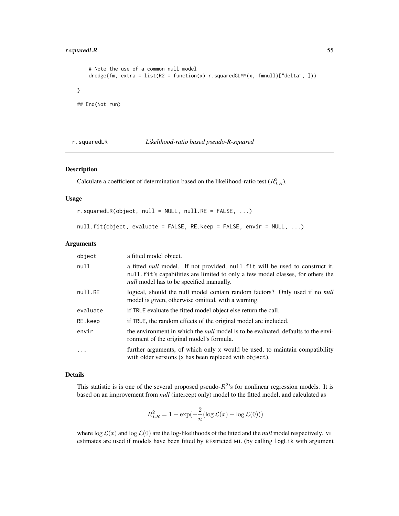# <span id="page-54-1"></span>r.squaredLR 55

}

```
# Note the use of a common null model
   dredge(fm, extra = list(R2 = function(x) r.squaredGLMM(x, fmnull)["delta", ]))
## End(Not run)
```
#### <span id="page-54-0"></span>r.squaredLR *Likelihood-ratio based pseudo-R-squared*

# Description

Calculate a coefficient of determination based on the likelihood-ratio test  $(R_{LR}^2)$ .

# Usage

```
r.squaredLR(object, null = NULL, null. RE = FALSE, ...)
```

```
null.fit(object, evaluate = FALSE, RE.keep = FALSE, envir = NULL, ...)
```
#### Arguments

| object   | a fitted model object.                                                                                                                                                                                                    |
|----------|---------------------------------------------------------------------------------------------------------------------------------------------------------------------------------------------------------------------------|
| null     | a fitted <i>null</i> model. If not provided, null fit will be used to construct it.<br>null fit's capabilities are limited to only a few model classes, for others the<br><i>null</i> model has to be specified manually. |
| null.RE  | logical, should the null model contain random factors? Only used if no <i>null</i><br>model is given, otherwise omitted, with a warning.                                                                                  |
| evaluate | if TRUE evaluate the fitted model object else return the call.                                                                                                                                                            |
| RE.keep  | if TRUE, the random effects of the original model are included.                                                                                                                                                           |
| envir    | the environment in which the <i>null</i> model is to be evaluated, defaults to the envi-<br>ronment of the original model's formula.                                                                                      |
| $\cdot$  | further arguments, of which only x would be used, to maintain compatibility<br>with older versions (x has been replaced with object).                                                                                     |

# Details

This statistic is is one of the several proposed pseudo- $R^2$ 's for nonlinear regression models. It is based on an improvement from *null* (intercept only) model to the fitted model, and calculated as

$$
R_{LR}^2 = 1 - \exp(-\frac{2}{n} (\log \mathcal{L}(x) - \log \mathcal{L}(0)))
$$

where  $\log \mathcal{L}(x)$  and  $\log \mathcal{L}(0)$  are the log-likelihoods of the fitted and the *null* model respectively. ML estimates are used if models have been fitted by REstricted ML (by calling logLik with argument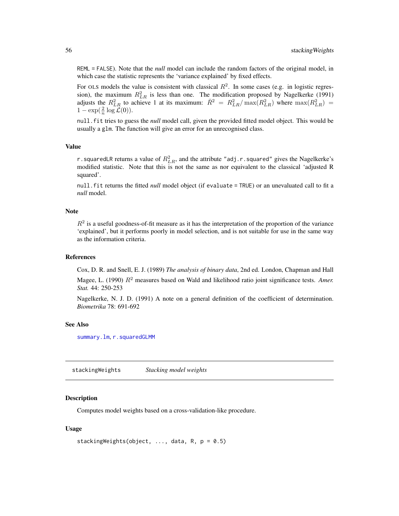<span id="page-55-1"></span>REML = FALSE). Note that the *null* model can include the random factors of the original model, in which case the statistic represents the 'variance explained' by fixed effects.

For OLS models the value is consistent with classical  $R^2$ . In some cases (e.g. in logistic regression), the maximum  $R_{LR}^2$  is less than one. The modification proposed by Nagelkerke (1991) adjusts the  $R_{LR}^2$  to achieve 1 at its maximum:  $\bar{R}^2 = R_{LR}^2 / \max(R_{LR}^2)$  where  $\max(R_{LR}^2) =$  $1 - \exp(\frac{2}{n} \log \mathcal{L}(0)).$ 

null.fit tries to guess the *null* model call, given the provided fitted model object. This would be usually a glm. The function will give an error for an unrecognised class.

# Value

r.squaredLR returns a value of  $R_{LR}^2$ , and the attribute "adj.r.squared" gives the Nagelkerke's modified statistic. Note that this is not the same as nor equivalent to the classical 'adjusted R squared'.

null.fit returns the fitted *null* model object (if evaluate = TRUE) or an unevaluated call to fit a *null* model.

# Note

 $R<sup>2</sup>$  is a useful goodness-of-fit measure as it has the interpretation of the proportion of the variance 'explained', but it performs poorly in model selection, and is not suitable for use in the same way as the information criteria.

# References

Cox, D. R. and Snell, E. J. (1989) *The analysis of binary data*, 2nd ed. London, Chapman and Hall Magee, L. (1990)  $R^2$  measures based on Wald and likelihood ratio joint significance tests. Amer. *Stat.* 44: 250-253

Nagelkerke, N. J. D. (1991) A note on a general definition of the coefficient of determination. *Biometrika* 78: 691-692

#### See Also

[summary.lm](#page-0-0), [r.squaredGLMM](#page-51-0)

<span id="page-55-0"></span>stackingWeights *Stacking model weights*

# Description

Computes model weights based on a cross-validation-like procedure.

# Usage

```
stackingWeights(object, ..., data, R, p = 0.5)
```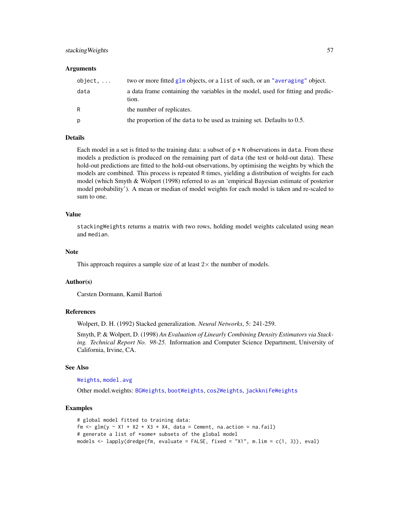# stacking Weights 57

## **Arguments**

| $object, \ldots$ | two or more fitted glm objects, or a list of such, or an "averaging" object.              |
|------------------|-------------------------------------------------------------------------------------------|
| data             | a data frame containing the variables in the model, used for fitting and predic-<br>tion. |
| R                | the number of replicates.                                                                 |
| р                | the proportion of the data to be used as training set. Defaults to 0.5.                   |

#### Details

Each model in a set is fitted to the training data: a subset of  $p \star N$  observations in data. From these models a prediction is produced on the remaining part of data (the test or hold-out data). These hold-out predictions are fitted to the hold-out observations, by optimising the weights by which the models are combined. This process is repeated R times, yielding a distribution of weights for each model (which Smyth & Wolpert (1998) referred to as an 'empirical Bayesian estimate of posterior model probability'). A mean or median of model weights for each model is taken and re-scaled to sum to one.

#### Value

stackingWeights returns a matrix with two rows, holding model weights calculated using mean and median.

# Note

This approach requires a sample size of at least  $2\times$  the number of models.

#### Author(s)

Carsten Dormann, Kamil Bartoń

# References

Wolpert, D. H. (1992) Stacked generalization. *Neural Networks*, 5: 241-259.

Smyth, P. & Wolpert, D. (1998) *An Evaluation of Linearly Combining Density Estimators via Stacking. Technical Report No. 98-25.* Information and Computer Science Department, University of California, Irvine, CA.

#### See Also

#### [Weights](#page-68-0), [model.avg](#page-31-0)

Other model.weights: [BGWeights](#page-9-0), [bootWeights](#page-10-0), [cos2Weights](#page-12-0), [jackknifeWeights](#page-25-0)

# Examples

```
# global model fitted to training data:
fm \leq glm(y \approx X1 + X2 + X3 + X4, data = Cement, na.action = na. fail)# generate a list of *some* subsets of the global model
models <- lapply(dredge(fm, evaluate = FALSE, fixed = "X1", m.lim = c(1, 3)), eval)
```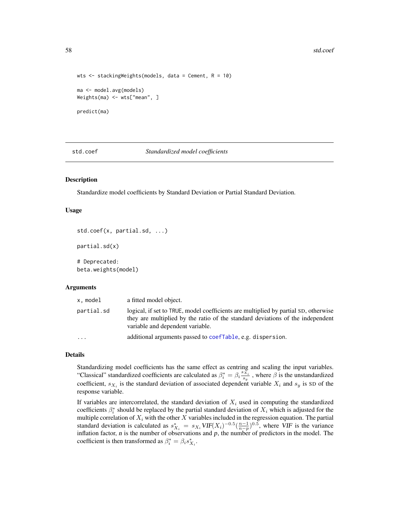#### 58 std.coef **blue that the contract of the contract of the contract of the contract of the contract of the contract of the contract of the contract of the contract of the contract of the contract of the contract of the con**

```
wts \le stackingWeights(models, data = Cement, R = 10)
ma <- model.avg(models)
Weights(ma) <- wts["mean", ]
predict(ma)
```
<span id="page-57-0"></span>std.coef *Standardized model coefficients*

# Description

Standardize model coefficients by Standard Deviation or Partial Standard Deviation.

#### Usage

```
std.coef(x, partial.sd, ...)
```
partial.sd(x)

# Deprecated: beta.weights(model)

#### **Arguments**

| x.model    | a fitted model object.                                                                                                                                                                                    |
|------------|-----------------------------------------------------------------------------------------------------------------------------------------------------------------------------------------------------------|
| partial.sd | logical, if set to TRUE, model coefficients are multiplied by partial SD, otherwise<br>they are multiplied by the ratio of the standard deviations of the independent<br>variable and dependent variable. |
| $\ddotsc$  | additional arguments passed to coefTable, e.g. dispersion.                                                                                                                                                |

# Details

Standardizing model coefficients has the same effect as centring and scaling the input variables. "Classical" standardized coefficients are calculated as  $\beta_i^* = \beta_i \frac{s_{x_i}}{s_y}$ , where  $\beta$  is the unstandardized coefficient,  $s_{X_i}$  is the standard deviation of associated dependent variable  $X_i$  and  $s_y$  is SD of the response variable.

If variables are intercorrelated, the standard deviation of  $X_i$  used in computing the standardized coefficients  $\beta_i^*$  should be replaced by the partial standard deviation of  $X_i$  which is adjusted for the multiple correlation of  $X_i$  with the other  $X$  variables included in the regression equation. The partial standard deviation is calculated as  $s_{X_i}^* = s_{X_i} VIF(X_i)^{-0.5}(\frac{n-1}{n-p})^{0.5}$ , where VIF is the variance inflation factor,  $n$  is the number of observations and  $p$ , the number of predictors in the model. The coefficient is then transformed as  $\beta_i^* = \beta_i s_{X_i}^*$ .

<span id="page-57-1"></span>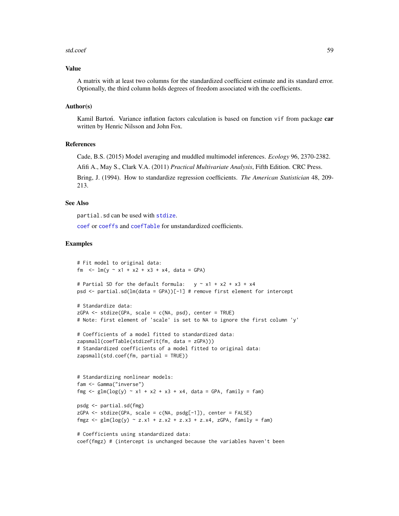#### std.coef 59

#### Value

A matrix with at least two columns for the standardized coefficient estimate and its standard error. Optionally, the third column holds degrees of freedom associated with the coefficients.

# Author(s)

Kamil Barton. Variance inflation factors calculation is based on function vif from package car written by Henric Nilsson and John Fox.

# References

Cade, B.S. (2015) Model averaging and muddled multimodel inferences. *Ecology* 96, 2370-2382.

Afifi A., May S., Clark V.A. (2011) *Practical Multivariate Analysis*, Fifth Edition. CRC Press. Bring, J. (1994). How to standardize regression coefficients. *The American Statistician* 48, 209-

```
213.
```
# See Also

partial.sd can be used with [stdize](#page-59-0).

[coef](#page-0-0) or [coeffs](#page-29-0) and [coefTable](#page-29-0) for unstandardized coefficients.

#### Examples

```
# Fit model to original data:
fm \leq - \ln(y \sim x_1 + x_2 + x_3 + x_4, \text{ data} = \text{GPA}# Partial SD for the default formula: y \sim x1 + x2 + x3 + x4psd <- partial.sd(lm(data = GPA))[-1] # remove first element for intercept
# Standardize data:
ZGPA \leq stdize(GPA, scale = c(NA, psd), center = TRUE)
# Note: first element of 'scale' is set to NA to ignore the first column 'y'
# Coefficients of a model fitted to standardized data:
zapsmall(coefTable(stdizeFit(fm, data = zGPA)))
# Standardized coefficients of a model fitted to original data:
zapsmall(<math>std.coef(fm, partial = TRUE</math>))# Standardizing nonlinear models:
fam <- Gamma("inverse")
fmg \le glm(log(y) \sim x1 + x2 + x3 + x4, data = GPA, family = fam)
psdg <- partial.sd(fmg)
zGPA <- stdize(GPA, scale = c(NA, psdg[-1]), center = FALSE)
fmgz \leq glm(log(y) \sim z.x1 + z.x2 + z.x3 + z.x4, zGPA, family = fam)
# Coefficients using standardized data:
coef(fmgz) # (intercept is unchanged because the variables haven't been
```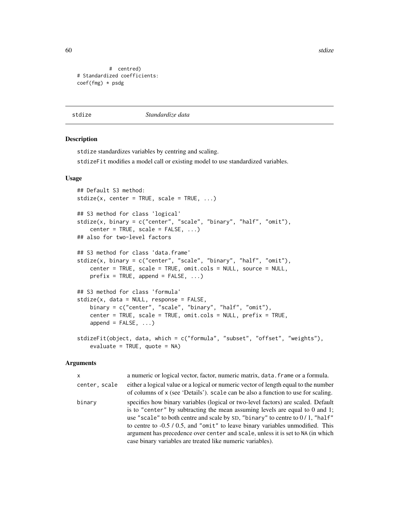<span id="page-59-1"></span>60 stdize and the state of the state of the state of the state of the state of the state of the state of the state of the state of the state of the state of the state of the state of the state of the state of the state of

```
# centred)
# Standardized coefficients:
coef(fmg) * psdg
```
<span id="page-59-0"></span>stdize *Standardize data*

#### **Description**

stdize standardizes variables by centring and scaling.

stdizeFit modifies a model call or existing model to use standardized variables.

# Usage

```
## Default S3 method:
stdize(x, center = TRUE, scale = TRUE, ...)## S3 method for class 'logical'
stdize(x, binary = c("center", "scale", "binary", "half", "omit"),
    center = TRUE, scale = FALSE, ...)## also for two-level factors
## S3 method for class 'data.frame'
stdize(x, binary = c("center", "scale", "binary", "half", "omit"),
    center = TRUE, scale = TRUE, omit.cols = NULL, source = NULL,
    prefix = TRUE, append = FALSE, ...)## S3 method for class 'formula'
stdize(x, data = NULL, response = FALSE,binary = c("center", "scale", "binary", "half", "omit"),
    center = TRUE, scale = TRUE, omit.cols = NULL, prefix = TRUE,
    append = FALSE, \ldots)stdizeFit(object, data, which = c("formula", "subset", "offset", "weights"),
    evaluate = TRUE, quote = NA)
```
#### **Arguments**

| X             | a numeric or logical vector, factor, numeric matrix, data. frame or a formula.                                                                                                                                                                                                                                                                                                                                                                                                             |
|---------------|--------------------------------------------------------------------------------------------------------------------------------------------------------------------------------------------------------------------------------------------------------------------------------------------------------------------------------------------------------------------------------------------------------------------------------------------------------------------------------------------|
| center, scale | either a logical value or a logical or numeric vector of length equal to the number<br>of columns of x (see 'Details'). scale can be also a function to use for scaling.                                                                                                                                                                                                                                                                                                                   |
| binary        | specifies how binary variables (logical or two-level factors) are scaled. Default<br>is to "center" by subtracting the mean assuming levels are equal to $0$ and 1;<br>use "scale" to both centre and scale by SD, "binary" to centre to $0/1$ , "half"<br>to centre to -0.5 / 0.5, and "omit" to leave binary variables unmodified. This<br>argument has precedence over center and scale, unless it is set to NA (in which<br>case binary variables are treated like numeric variables). |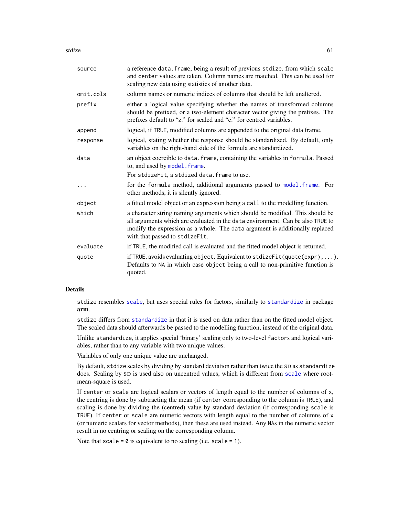stdize 61

| source    | a reference data. frame, being a result of previous stdize, from which scale<br>and center values are taken. Column names are matched. This can be used for<br>scaling new data using statistics of another data.                                                                |
|-----------|----------------------------------------------------------------------------------------------------------------------------------------------------------------------------------------------------------------------------------------------------------------------------------|
| omit.cols | column names or numeric indices of columns that should be left unaltered.                                                                                                                                                                                                        |
| prefix    | either a logical value specifying whether the names of transformed columns<br>should be prefixed, or a two-element character vector giving the prefixes. The<br>prefixes default to "z." for scaled and "c." for centred variables.                                              |
| append    | logical, if TRUE, modified columns are appended to the original data frame.                                                                                                                                                                                                      |
| response  | logical, stating whether the response should be standardized. By default, only<br>variables on the right-hand side of the formula are standardized.                                                                                                                              |
| data      | an object coercible to data. frame, containing the variables in formula. Passed<br>to, and used by model. frame.                                                                                                                                                                 |
|           | For stdizeFit, a stdized data. frame to use.                                                                                                                                                                                                                                     |
|           | for the formula method, additional arguments passed to model. frame. For<br>other methods, it is silently ignored.                                                                                                                                                               |
| object    | a fitted model object or an expression being a call to the modelling function.                                                                                                                                                                                                   |
| which     | a character string naming arguments which should be modified. This should be<br>all arguments which are evaluated in the data environment. Can be also TRUE to<br>modify the expression as a whole. The data argument is additionally replaced<br>with that passed to stdizeFit. |
| evaluate  | if TRUE, the modified call is evaluated and the fitted model object is returned.                                                                                                                                                                                                 |
| quote     | if TRUE, avoids evaluating object. Equivalent to stdizeFit(quote(expr),  ).<br>Defaults to NA in which case object being a call to non-primitive function is<br>quoted.                                                                                                          |

# Details

stdize resembles [scale](#page-0-0), but uses special rules for factors, similarly to [standardize](#page-0-0) in package arm.

stdize differs from [standardize](#page-0-0) in that it is used on data rather than on the fitted model object. The scaled data should afterwards be passed to the modelling function, instead of the original data.

Unlike standardize, it applies special 'binary' scaling only to two-level factors and logical variables, rather than to any variable with two unique values.

Variables of only one unique value are unchanged.

By default, stdize scales by dividing by standard deviation rather than twice the SD as standardize does. Scaling by SD is used also on uncentred values, which is different from [scale](#page-0-0) where rootmean-square is used.

If center or scale are logical scalars or vectors of length equal to the number of columns of x, the centring is done by subtracting the mean (if center corresponding to the column is TRUE), and scaling is done by dividing the (centred) value by standard deviation (if corresponding scale is TRUE). If center or scale are numeric vectors with length equal to the number of columns of x (or numeric scalars for vector methods), then these are used instead. Any NAs in the numeric vector result in no centring or scaling on the corresponding column.

Note that scale =  $\theta$  is equivalent to no scaling (i.e. scale = 1).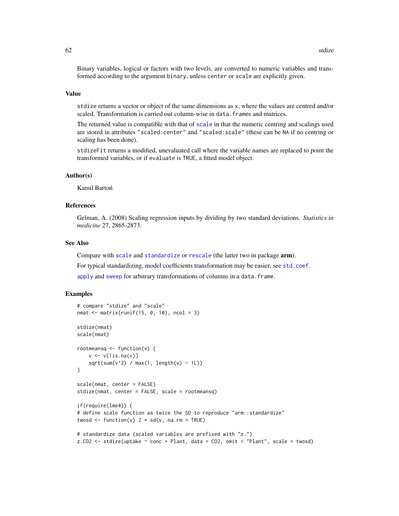<span id="page-61-0"></span>Binary variables, logical or factors with two levels, are converted to numeric variables and transformed according to the argument binary, unless center or scale are explicitly given.

#### Value

stdize returns a vector or object of the same dimensions as x, where the values are centred and/or scaled. Transformation is carried out column-wise in data.frames and matrices.

The returned value is compatible with that of [scale](#page-0-0) in that the numeric centring and scalings used are stored in attributes "scaled:center" and "scaled:scale" (these can be NA if no centring or scaling has been done).

stdizeFit returns a modified, unevaluated call where the variable names are replaced to point the transformed variables, or if evaluate is TRUE, a fitted model object.

# Author(s)

Kamil Bartoń

# References

Gelman, A. (2008) Scaling regression inputs by dividing by two standard deviations. *Statistics in medicine* 27, 2865-2873.

# See Also

Compare with [scale](#page-0-0) and [standardize](#page-0-0) or [rescale](#page-0-0) (the latter two in package arm).

For typical standardizing, model coefficients transformation may be easier, see [std.coef](#page-57-0).

[apply](#page-0-0) and [sweep](#page-0-0) for arbitrary transformations of columns in a data. frame.

#### Examples

```
# compare "stdize" and "scale"
nmat \leq matrix(runif(15, 0, 10), ncol = 3)
stdize(nmat)
scale(nmat)
rootmeansq \leq function(v) {
   v \leftarrow v[!is.na(v)]
    sqrt(sum(v^2) / max(1, length(v) - 1L))}
scale(nmat, center = FALSE)
stdize(nmat, center = FALSE, scale = rootmeansq)
if(require(lme4)) {
# define scale function as twice the SD to reproduce "arm::standardize"
twosd \leq function(v) 2 * sd(v, na.rm = TRUE)# standardize data (scaled variables are prefixed with "z.")
```
z.CO2  $\le$  stdize(uptake  $\sim$  conc + Plant, data = CO2, omit = "Plant", scale = twosd)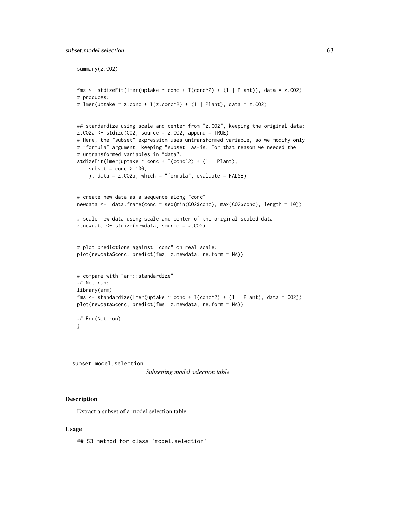<span id="page-62-0"></span>summary(z.CO2)

```
fmz <- stdizeFit(lmer(uptake ~ conc + I(conc^2) + (1 | Plant)), data = z.CO2)
# produces:
# lmer(uptake ~ z.conc + I(z.conc^2) + (1 | Plant), data = z.C02)## standardize using scale and center from "z.CO2", keeping the original data:
z.CO2a <- stdize(CO2, source = z.CO2, append = TRUE)
# Here, the "subset" expression uses untransformed variable, so we modify only
# "formula" argument, keeping "subset" as-is. For that reason we needed the
# untransformed variables in "data".
stdizeFit(lmer(uptake \sim conc + I(conc^2) + (1 | Plant),
    subset = cone > 100,
    ), data = z.CO2a, which = "formula", evaluate = FALSE)
# create new data as a sequence along "conc"
newdata <- data.frame(conc = seq(min(CO2$conc), max(CO2$conc), length = 10))
# scale new data using scale and center of the original scaled data:
z.newdata <- stdize(newdata, source = z.CO2)
# plot predictions against "conc" on real scale:
plot(newdata$conc, predict(fmz, z.newdata, re.form = NA))
# compare with "arm::standardize"
## Not run:
library(arm)
fms \le standardize(lmer(uptake \sim conc + I(conc^2) + (1 | Plant), data = CO2))
plot(newdata$conc, predict(fms, z.newdata, re.form = NA))
## End(Not run)
}
```
subset.model.selection

*Subsetting model selection table*

# Description

Extract a subset of a model selection table.

#### Usage

## S3 method for class 'model.selection'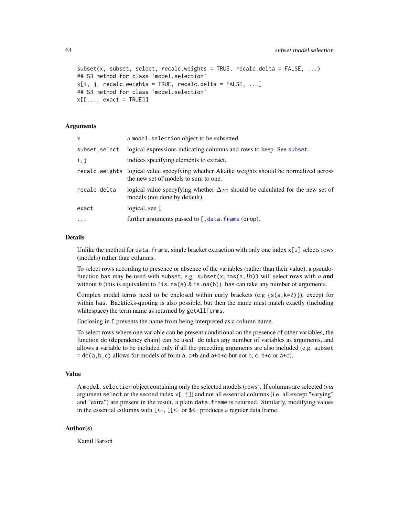```
subset(x, subset, select, recalc.weights = TRUE, recalc.delta = FALSE, ...)
## S3 method for class 'model.selection'
x[i, j, recallc.weights = TRUE, recalc.delta = FALSE, ...]## S3 method for class 'model.selection'
x[[..., exact = TRUE]]
```
#### Arguments

| x             | a model. selection object to be subsetted.                                                                                         |
|---------------|------------------------------------------------------------------------------------------------------------------------------------|
| subset.select | logical expressions indicating columns and rows to keep. See subset.                                                               |
| i,j           | indices specifying elements to extract.                                                                                            |
|               | recalc.weights logical value specyfying whether Akaike weights should be normalized across<br>the new set of models to sum to one. |
| recalc.delta  | logical value specyfying whether $\Delta_{IC}$ should be calculated for the new set of<br>models (not done by default).            |
| exact         | logical, see $\mathbf{L}$ .                                                                                                        |
| $\cdot$       | further arguments passed to $[$ . data. frame (drop).                                                                              |
|               |                                                                                                                                    |

#### Details

Unlike the method for data. frame, single bracket extraction with only one index  $x[i]$  selects rows (models) rather than columns.

To select rows according to presence or absence of the variables (rather than their value), a pseudofunction has may be used with subset, e.g. subset $(x, \text{has}(a, !b))$  will select rows with *a* and without *b* (this is equivalent to !is.na(a) & is.na(b)). has can take any number of arguments.

Complex model terms need to be enclosed within curly brackets (e.g  $\{s(a,k=2)\}\)$ , except for within has. Backticks-quoting is also possible, but then the name must match exactly (including whitespace) the term name as returned by getAllTerms.

Enclosing in I prevents the name from being interpreted as a column name.

To select rows where one variable can be present conditional on the presence of other variables, the function dc (dependency chain) can be used. dc takes any number of variables as arguments, and allows a variable to be included only if all the preceding arguments are also included (e.g. subset  $=$  dc(a,b,c) allows for models of form a, a+b and a+b+c but not b, c, b+c or a+c).

#### Value

A model.selection object containing only the selected models (rows). If columns are selected (*via* argument select or the second index  $x$ [, j]) and not all essential columns (i.e. all except "varying" and "extra") are present in the result, a plain data.frame is returned. Similarly, modifying values in the essential columns with  $\ll$  =  $\ll$  =  $\ll$  =  $\ll$  =  $\ll$  produces a regular data frame.

# Author(s)

Kamil Bartoń

<span id="page-63-0"></span>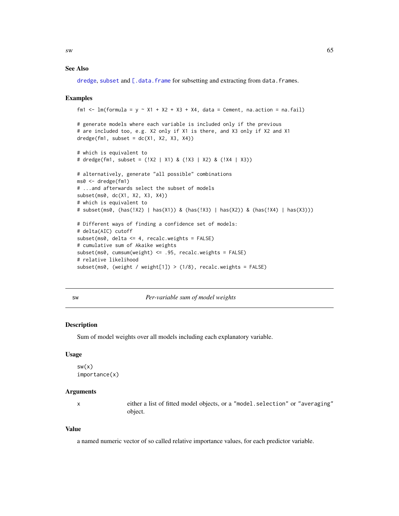# <span id="page-64-1"></span>See Also

[dredge](#page-13-0), [subset](#page-0-0) and [\[.data.frame](#page-0-0) for subsetting and extracting from data.frames.

# Examples

```
fm1 <- lm(formula = y \sim X1 + X2 + X3 + X4, data = Cement, na.action = na.fail)
# generate models where each variable is included only if the previous
# are included too, e.g. X2 only if X1 is there, and X3 only if X2 and X1
dredge(fm1, subset = dc(X1, X2, X3, X4))# which is equivalent to
# dredge(fm1, subset = (!X2 | X1) & (!X3 | X2) & (!X4 | X3))
# alternatively, generate "all possible" combinations
ms0 <- dredge(fm1)
# ...and afterwards select the subset of models
subset(ms0, dc(X1, X2, X3, X4))
# which is equivalent to
# subset(ms0, (has(!X2) | has(X1)) & (has(!X3) | has(X2)) & (has(!X4) | has(X3)))
# Different ways of finding a confidence set of models:
# delta(AIC) cutoff
subset(ms0, delta \leq 4, recalc.weights = FALSE)
# cumulative sum of Akaike weights
subset(ms0, cumsum(weight) <= .95, recalc.weights = FALSE)
# relative likelihood
subset(ms0, (weight / weight[1]) > (1/8), recalc.weights = FALSE)
```
<span id="page-64-0"></span>

| ۰,<br>$\sim$ | ٠ |
|--------------|---|

sw *Per-variable sum of model weights*

# **Description**

Sum of model weights over all models including each explanatory variable.

#### Usage

```
sw(x)importance(x)
```
#### Arguments

x either a list of fitted model objects, or a "model.selection" or "averaging" object.

#### Value

a named numeric vector of so called relative importance values, for each predictor variable.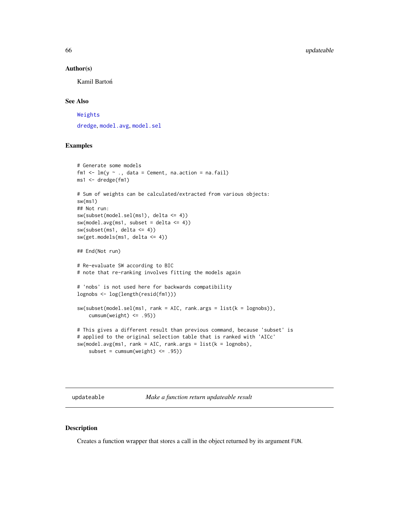#### Author(s)

Kamil Bartoń

#### See Also

[Weights](#page-68-0)

[dredge](#page-13-0), [model.avg](#page-31-0), [model.sel](#page-34-0)

# Examples

```
# Generate some models
fm1 \leftarrow lm(y \sim ., data = Cement, na.action = na.fail)
ms1 <- dredge(fm1)
# Sum of weights can be calculated/extracted from various objects:
sw(ms1)
## Not run:
sw(subset(model.sel(ms1), delta <= 4))
sw(model.argv(ms1, subset = delta \le 4))sw(subset(ms1, delta \leq 4))sw(get.models(ms1, delta <= 4))
## End(Not run)
# Re-evaluate SW according to BIC
# note that re-ranking involves fitting the models again
# 'nobs' is not used here for backwards compatibility
lognobs <- log(length(resid(fm1)))
sw(subset(model.sel(ms1, rank = AIC, rank.args = list(k = lognobs)),
    cumsum(weight) <= .95))
# This gives a different result than previous command, because 'subset' is
# applied to the original selection table that is ranked with 'AICc'
sw(\text{model.avg(ms1, rank = AIC, rank.args = list(k = lognobs),subset = cumsum(weight) <= .95))
```
<span id="page-65-0"></span>updateable *Make a function return updateable result*

#### Description

Creates a function wrapper that stores a call in the object returned by its argument FUN.

<span id="page-65-1"></span>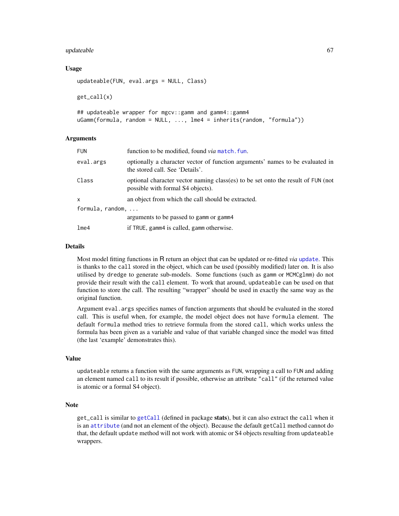#### <span id="page-66-0"></span>updateable 67

# Usage

```
updateable(FUN, eval.args = NULL, Class)
```
get\_call(x)

```
## updateable wrapper for mgcv::gamm and gamm4::gamm4
uGamm(formula, random = NULL, ..., lme4 = inherits(random, "formula"))
```
# Arguments

| <b>FUN</b>       | function to be modified, found <i>via</i> match. fun.                                                                 |
|------------------|-----------------------------------------------------------------------------------------------------------------------|
| eval.args        | optionally a character vector of function arguments' names to be evaluated in<br>the stored call. See 'Details'.      |
| Class            | optional character vector naming class(es) to be set onto the result of FUN (not<br>possible with formal S4 objects). |
| x                | an object from which the call should be extracted.                                                                    |
| formula, random, |                                                                                                                       |
|                  | arguments to be passed to gamm or gamm4                                                                               |
| lme4             | if TRUE, gamm4 is called, gamm otherwise.                                                                             |
|                  |                                                                                                                       |

# Details

Most model fitting functions in R return an object that can be updated or re-fitted *via* [update](#page-0-0). This is thanks to the call stored in the object, which can be used (possibly modified) later on. It is also utilised by dredge to generate sub-models. Some functions (such as gamm or MCMCglmm) do not provide their result with the call element. To work that around, updateable can be used on that function to store the call. The resulting "wrapper" should be used in exactly the same way as the original function.

Argument eval.args specifies names of function arguments that should be evaluated in the stored call. This is useful when, for example, the model object does not have formula element. The default formula method tries to retrieve formula from the stored call, which works unless the formula has been given as a variable and value of that variable changed since the model was fitted (the last 'example' demonstrates this).

# Value

updateable returns a function with the same arguments as FUN, wrapping a call to FUN and adding an element named call to its result if possible, otherwise an attribute "call" (if the returned value is atomic or a formal S4 object).

# Note

get\_call is similar to [getCall](#page-0-0) (defined in package stats), but it can also extract the call when it is an [attribute](#page-0-0) (and not an element of the object). Because the default getCall method cannot do that, the default update method will not work with atomic or S4 objects resulting from updateable wrappers.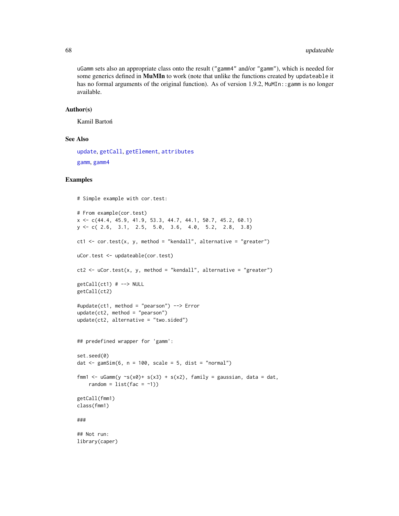#### 68 updateable by the control of the control of the control of the control of the control of the control of the control of the control of the control of the control of the control of the control of the control of the contro

uGamm sets also an appropriate class onto the result ("gamm4" and/or "gamm"), which is needed for some generics defined in MuMIn to work (note that unlike the functions created by updateable it has no formal arguments of the original function). As of version 1.9.2, MuMIn: : gamm is no longer available.

#### Author(s)

Kamil Bartoń

#### See Also

[update](#page-0-0), [getCall](#page-0-0), [getElement](#page-0-0), [attributes](#page-0-0)

[gamm](#page-0-0), [gamm4](#page-0-0)

# Examples

```
# Simple example with cor.test:
# From example(cor.test)
x <- c(44.4, 45.9, 41.9, 53.3, 44.7, 44.1, 50.7, 45.2, 60.1)
y <- c( 2.6, 3.1, 2.5, 5.0, 3.6, 4.0, 5.2, 2.8, 3.8)
ct1 \le cor.test(x, y, method = "kendall", alternative = "greater")
uCor.test <- updateable(cor.test)
ct2 \leq uCor.test(x, y, method = "kendall", alternative = "greater")
getCall(ct1) # --> NULL
getCall(ct2)
#update(ct1, method = "pearson") --> Error
update(ct2, method = "pearson")
update(ct2, alternative = "two.sided")
## predefined wrapper for 'gamm':
set.seed(0)
dat \le gamSim(6, n = 100, scale = 5, dist = "normal")
fmm1 <- uGamm(y \sims(x0)+ s(x3) + s(x2), family = gaussian, data = dat,
   random = list(fac = ~1))getCall(fmm1)
class(fmm1)
###
## Not run:
library(caper)
```
<span id="page-67-0"></span>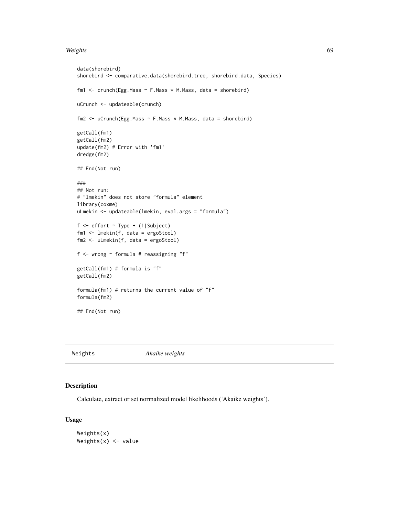#### <span id="page-68-1"></span>Weights 69

```
data(shorebird)
shorebird <- comparative.data(shorebird.tree, shorebird.data, Species)
fm1 <- crunch(Egg.Mass \sim F.Mass * M.Mass, data = shorebird)
uCrunch <- updateable(crunch)
fm2 <- uCrunch(Egg.Mass ~ F.Mass * M.Mass, data = shorebird)
getCall(fm1)
getCall(fm2)
update(fm2) # Error with 'fm1'
dredge(fm2)
## End(Not run)
###
## Not run:
# "lmekin" does not store "formula" element
library(coxme)
uLmekin <- updateable(lmekin, eval.args = "formula")
f <- effort ~ Type + (1|Subject)
fm1 <- lmekin(f, data = ergoStool)
fm2 <- uLmekin(f, data = ergoStool)
f \le - wrong \sim formula # reassigning "f"
getCall(fm1) # formula is "f"
getCall(fm2)
formula(fm1) # returns the current value of "f"
formula(fm2)
## End(Not run)
```
<span id="page-68-0"></span>

Weights *Akaike weights*

### Description

Calculate, extract or set normalized model likelihoods ('Akaike weights').

#### Usage

Weights(x) Weights $(x)$  <- value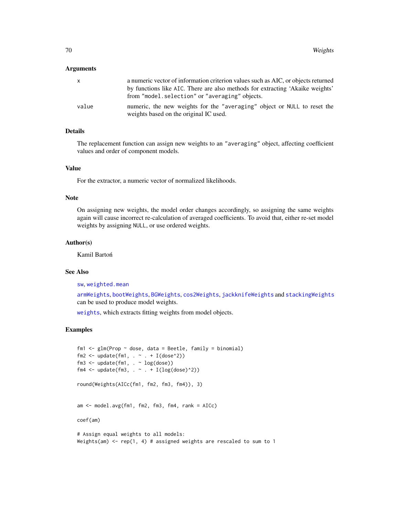#### <span id="page-69-0"></span>Arguments

| $\mathsf{x}$ | a numeric vector of information criterion values such as AIC, or objects returned                                               |
|--------------|---------------------------------------------------------------------------------------------------------------------------------|
|              | by functions like AIC. There are also methods for extracting 'Akaike weights'<br>from "model.selection" or "averaging" objects. |
| value        | numeric, the new weights for the "averaging" object or NULL to reset the<br>weights based on the original IC used.              |

# Details

The replacement function can assign new weights to an "averaging" object, affecting coefficient values and order of component models.

## Value

For the extractor, a numeric vector of normalized likelihoods.

# Note

On assigning new weights, the model order changes accordingly, so assigning the same weights again will cause incorrect re-calculation of averaged coefficients. To avoid that, either re-set model weights by assigning NULL, or use ordered weights.

# Author(s)

Kamil Bartoń

# See Also

[sw](#page-64-0), [weighted.mean](#page-0-0)

[armWeights](#page-5-0), [bootWeights](#page-10-0), [BGWeights](#page-9-0), [cos2Weights](#page-12-0), [jackknifeWeights](#page-25-0) and [stackingWeights](#page-55-0) can be used to produce model weights.

[weights](#page-0-0), which extracts fitting weights from model objects.

## Examples

```
fm1 \leq glm(Prop \sim dose, data = Beetle, family = binomial)
fm2 \leq update(fm1, . r + I(dose^2))fm3 \leq update(fm1, \leq log(dose))
fm4 <- update(fm3, \cdot \sim \cdot + I(log(dose)^2))
round(Weights(AICc(fm1, fm2, fm3, fm4)), 3)
am <- model.avg(fm1, fm2, fm3, fm4, rank = AICc)
coef(am)
# Assign equal weights to all models:
Weights(am) \le- rep(1, 4) # assigned weights are rescaled to sum to 1
```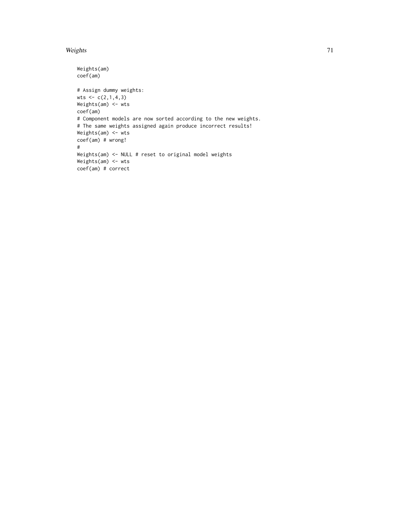#### Weights 71

```
Weights(am)
coef(am)
# Assign dummy weights:
wts <-c(2,1,4,3)Weights(am) <- wts
coef(am)
# Component models are now sorted according to the new weights.
# The same weights assigned again produce incorrect results!
Weights(am) <- wts
coef(am) # wrong!
#
Weights(am) <- NULL # reset to original model weights
Weights(am) <- wts
coef(am) # correct
```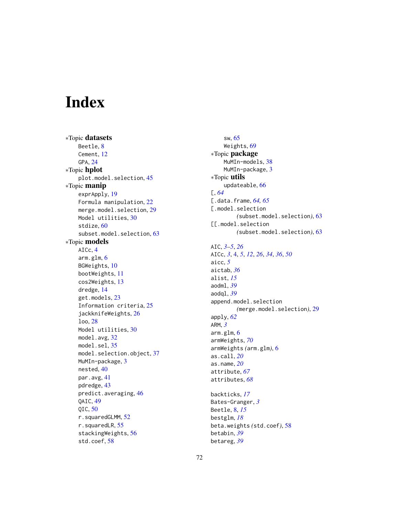# Index

∗Topic datasets Beetle, [8](#page-7-0) Cement, [12](#page-11-0) GPA, [24](#page-23-0) ∗Topic hplot plot.model.selection, [45](#page-44-0) ∗Topic manip exprApply, [19](#page-18-0) Formula manipulation, [22](#page-21-0) merge.model.selection, [29](#page-28-0) Model utilities, [30](#page-29-1) stdize, [60](#page-59-1) subset.model.selection, [63](#page-62-0) ∗Topic models AICc, [4](#page-3-1) arm.glm, [6](#page-5-1) BGWeights, [10](#page-9-1) bootWeights, [11](#page-10-1) cos2Weights, [13](#page-12-1) dredge, [14](#page-13-1) get.models, [23](#page-22-0) Information criteria, [25](#page-24-0) jackknifeWeights, [26](#page-25-1) loo, [28](#page-27-0) Model utilities, [30](#page-29-1) model.avg, [32](#page-31-1) model.sel, [35](#page-34-1) model.selection.object, [37](#page-36-0) MuMIn-package, [3](#page-2-1) nested, [40](#page-39-0) par.avg, [41](#page-40-1) pdredge, [43](#page-42-0) predict.averaging, [46](#page-45-0) QAIC, [49](#page-48-0) QIC, [50](#page-49-1) r.squaredGLMM, [52](#page-51-1) r.squaredLR, [55](#page-54-1) stackingWeights, [56](#page-55-1) std.coef, [58](#page-57-1)

sw, [65](#page-64-1) Weights, [69](#page-68-1) ∗Topic package MuMIn-models, [38](#page-37-0) MuMIn-package, [3](#page-2-1) ∗Topic utils updateable, [66](#page-65-1) [, *[64](#page-63-0)* [.data.frame, *[64,](#page-63-0) [65](#page-64-1)* [.model.selection *(*subset.model.selection*)*, [63](#page-62-0) [[.model.selection *(*subset.model.selection*)*, [63](#page-62-0) AIC, *[3–](#page-2-1)[5](#page-4-0)*, *[26](#page-25-1)* AICc, *[3](#page-2-1)*, [4,](#page-3-1) *[5](#page-4-0)*, *[12](#page-11-0)*, *[26](#page-25-1)*, *[34](#page-33-0)*, *[36](#page-35-0)*, *[50](#page-49-1)* aicc, *[5](#page-4-0)* aictab, *[36](#page-35-0)* alist, *[15](#page-14-0)* aodml, *[39](#page-38-0)* aodql, *[39](#page-38-0)* append.model.selection *(*merge.model.selection*)*, [29](#page-28-0) apply, *[62](#page-61-0)* ARM, *[3](#page-2-1)* arm.glm, [6](#page-5-1) armWeights, *[70](#page-69-0)* armWeights *(*arm.glm*)*, [6](#page-5-1) as.call, *[20](#page-19-0)* as.name, *[20](#page-19-0)* attribute, *[67](#page-66-0)* attributes, *[68](#page-67-0)* backticks, *[17](#page-16-0)* Bates-Granger, *[3](#page-2-1)* Beetle, [8,](#page-7-0) *[15](#page-14-0)* bestglm, *[18](#page-17-0)* beta.weights *(*std.coef*)*, [58](#page-57-1)

betabin, *[39](#page-38-0)* betareg, *[39](#page-38-0)*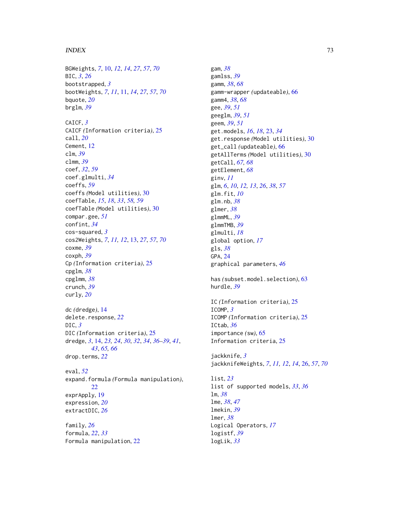## INDEX  $\hspace{1.5cm}$  73

BGWeights, *[7](#page-6-0)*, [10,](#page-9-0) *[12](#page-11-0)*, *[14](#page-13-0)*, *[27](#page-26-0)*, *[57](#page-56-0)*, *[70](#page-69-0)* BIC, *[3](#page-2-0)*, *[26](#page-25-0)* bootstrapped, *[3](#page-2-0)* bootWeights, *[7](#page-6-0)*, *[11](#page-10-0)*, [11,](#page-10-0) *[14](#page-13-0)*, *[27](#page-26-0)*, *[57](#page-56-0)*, *[70](#page-69-0)* bquote, *[20](#page-19-0)* brglm, *[39](#page-38-0)* CAICF, *[3](#page-2-0)* CAICF *(*Information criteria*)*, [25](#page-24-0) call, *[20](#page-19-0)* Cement, [12](#page-11-0) clm, *[39](#page-38-0)* clmm, *[39](#page-38-0)* coef, *[32](#page-31-0)*, *[59](#page-58-0)* coef.glmulti, *[34](#page-33-0)* coeffs, *[59](#page-58-0)* coeffs *(*Model utilities*)*, [30](#page-29-0) coefTable, *[15](#page-14-0)*, *[18](#page-17-0)*, *[33](#page-32-0)*, *[58,](#page-57-0) [59](#page-58-0)* coefTable *(*Model utilities*)*, [30](#page-29-0) compar.gee, *[51](#page-50-0)* confint, *[34](#page-33-0)* cos-squared, *[3](#page-2-0)* cos2Weights, *[7](#page-6-0)*, *[11,](#page-10-0) [12](#page-11-0)*, [13,](#page-12-0) *[27](#page-26-0)*, *[57](#page-56-0)*, *[70](#page-69-0)* coxme, *[39](#page-38-0)* coxph, *[39](#page-38-0)* Cp *(*Information criteria*)*, [25](#page-24-0) cpglm, *[38](#page-37-0)* cpglmm, *[38](#page-37-0)* crunch, *[39](#page-38-0)* curly, *[20](#page-19-0)* dc *(*dredge*)*, [14](#page-13-0) delete.response, *[22](#page-21-0)* DIC, *[3](#page-2-0)* DIC *(*Information criteria*)*, [25](#page-24-0) dredge, *[3](#page-2-0)*, [14,](#page-13-0) *[23,](#page-22-0) [24](#page-23-0)*, *[30](#page-29-0)*, *[32](#page-31-0)*, *[34](#page-33-0)*, *[36–](#page-35-0)[39](#page-38-0)*, *[41](#page-40-0)*, *[43](#page-42-0)*, *[65,](#page-64-0) [66](#page-65-0)* drop.terms, *[22](#page-21-0)* eval, *[52](#page-51-0)* expand.formula *(*Formula manipulation*)*, [22](#page-21-0) exprApply, [19](#page-18-0) expression, *[20](#page-19-0)* extractDIC, *[26](#page-25-0)* family, *[26](#page-25-0)*

formula, *[22](#page-21-0)*, *[33](#page-32-0)* Formula manipulation, [22](#page-21-0)

gam, *[38](#page-37-0)* gamlss, *[39](#page-38-0)* gamm, *[38](#page-37-0)*, *[68](#page-67-0)* gamm-wrapper *(*updateable*)*, [66](#page-65-0) gamm4, *[38](#page-37-0)*, *[68](#page-67-0)* gee, *[39](#page-38-0)*, *[51](#page-50-0)* geeglm, *[39](#page-38-0)*, *[51](#page-50-0)* geem, *[39](#page-38-0)*, *[51](#page-50-0)* get.models, *[16](#page-15-0)*, *[18](#page-17-0)*, [23,](#page-22-0) *[34](#page-33-0)* get.response *(*Model utilities*)*, [30](#page-29-0) get\_call *(*updateable*)*, [66](#page-65-0) getAllTerms *(*Model utilities*)*, [30](#page-29-0) getCall, *[67,](#page-66-0) [68](#page-67-0)* getElement, *[68](#page-67-0)* ginv, *[11](#page-10-0)* glm, *[6](#page-5-0)*, *[10](#page-9-0)*, *[12,](#page-11-0) [13](#page-12-0)*, *[26](#page-25-0)*, *[38](#page-37-0)*, *[57](#page-56-0)* glm.fit, *[10](#page-9-0)* glm.nb, *[38](#page-37-0)* glmer, *[38](#page-37-0)* glmmML, *[39](#page-38-0)* glmmTMB, *[39](#page-38-0)* glmulti, *[18](#page-17-0)* global option, *[17](#page-16-0)* gls, *[38](#page-37-0)* GPA, [24](#page-23-0) graphical parameters, *[46](#page-45-0)* has *(*subset.model.selection*)*, [63](#page-62-0) hurdle, *[39](#page-38-0)* IC *(*Information criteria*)*, [25](#page-24-0) ICOMP, *[3](#page-2-0)* ICOMP *(*Information criteria*)*, [25](#page-24-0) ICtab, *[36](#page-35-0)* importance *(*sw*)*, [65](#page-64-0) Information criteria, [25](#page-24-0) jackknife, *[3](#page-2-0)* jackknifeWeights, *[7](#page-6-0)*, *[11,](#page-10-0) [12](#page-11-0)*, *[14](#page-13-0)*, [26,](#page-25-0) *[57](#page-56-0)*, *[70](#page-69-0)* list, *[23](#page-22-0)*

list of supported models, *[33](#page-32-0)*, *[36](#page-35-0)* lm, *[38](#page-37-0)* lme, *[38](#page-37-0)*, *[47](#page-46-0)* lmekin, *[39](#page-38-0)* lmer, *[38](#page-37-0)* Logical Operators, *[17](#page-16-0)* logistf, *[39](#page-38-0)* logLik, *[33](#page-32-0)*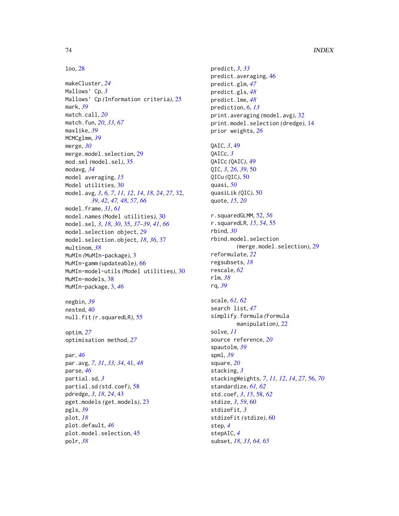## loo, [28](#page-27-0)

makeCluster, *[24](#page-23-0)* Mallows' Cp, *[3](#page-2-0)* Mallows' Cp *(*Information criteria*)*, [25](#page-24-0) mark, *[39](#page-38-0)* match.call, *[20](#page-19-0)* match.fun, *[20](#page-19-0)*, *[33](#page-32-0)*, *[67](#page-66-0)* maxlike, *[39](#page-38-0)* MCMCglmm, *[39](#page-38-0)* merge, *[30](#page-29-0)* merge.model.selection, [29](#page-28-0) mod.sel *(*model.sel*)*, [35](#page-34-0) modavg, *[34](#page-33-0)* model averaging, *[15](#page-14-0)* Model utilities, [30](#page-29-0) model.avg, *[3](#page-2-0)*, *[6,](#page-5-0) [7](#page-6-0)*, *[11,](#page-10-0) [12](#page-11-0)*, *[14](#page-13-0)*, *[18](#page-17-0)*, *[24](#page-23-0)*, *[27](#page-26-0)*, [32,](#page-31-0) *[39](#page-38-0)*, *[42](#page-41-0)*, *[47,](#page-46-0) [48](#page-47-0)*, *[57](#page-56-0)*, *[66](#page-65-0)* model.frame, *[31](#page-30-0)*, *[61](#page-60-0)* model.names *(*Model utilities*)*, [30](#page-29-0) model.sel, *[3](#page-2-0)*, *[18](#page-17-0)*, *[30](#page-29-0)*, [35,](#page-34-0) *[37–](#page-36-0)[39](#page-38-0)*, *[41](#page-40-0)*, *[66](#page-65-0)* model.selection object, *[29](#page-28-0)* model.selection.object, *[18](#page-17-0)*, *[36](#page-35-0)*, [37](#page-36-0) multinom, *[38](#page-37-0)* MuMIn *(*MuMIn-package*)*, [3](#page-2-0) MuMIn-gamm *(*updateable*)*, [66](#page-65-0) MuMIn-model-utils *(*Model utilities*)*, [30](#page-29-0) MuMIn-models, [38](#page-37-0) MuMIn-package, [3,](#page-2-0) *[46](#page-45-0)* negbin, *[39](#page-38-0)*

nested, [40](#page-39-0) null.fit *(*r.squaredLR*)*, [55](#page-54-0)

optim, *[27](#page-26-0)* optimisation method, *[27](#page-26-0)*

par, *[46](#page-45-0)* par.avg, *[7](#page-6-0)*, *[31](#page-30-0)*, *[33,](#page-32-0) [34](#page-33-0)*, [41,](#page-40-0) *[48](#page-47-0)* parse, *[46](#page-45-0)* partial.sd, *[3](#page-2-0)* partial.sd *(*std.coef*)*, [58](#page-57-0) pdredge, *[3](#page-2-0)*, *[18](#page-17-0)*, *[24](#page-23-0)*, [43](#page-42-0) pget.models *(*get.models*)*, [23](#page-22-0) pgls, *[39](#page-38-0)* plot, *[18](#page-17-0)* plot.default, *[46](#page-45-0)* plot.model.selection, [45](#page-44-0) polr, *[38](#page-37-0)*

predict, *[3](#page-2-0)*, *[33](#page-32-0)* predict.averaging, [46](#page-45-0) predict.glm, *[47](#page-46-0)* predict.gls, *[48](#page-47-0)* predict.lme, *[48](#page-47-0)* prediction, *[6](#page-5-0)*, *[13](#page-12-0)* print.averaging *(*model.avg*)*, [32](#page-31-0) print.model.selection *(*dredge*)*, [14](#page-13-0) prior weights, *[26](#page-25-0)* QAIC, *[3](#page-2-0)*, [49](#page-48-0) QAICc, *[3](#page-2-0)* QAICc *(*QAIC*)*, [49](#page-48-0) QIC, *[3](#page-2-0)*, *[26](#page-25-0)*, *[39](#page-38-0)*, [50](#page-49-0) QICu *(*QIC*)*, [50](#page-49-0) quasi, *[50](#page-49-0)* quasiLik *(*QIC*)*, [50](#page-49-0) quote, *[15](#page-14-0)*, *[20](#page-19-0)* r.squaredGLMM, [52,](#page-51-0) *[56](#page-55-0)* r.squaredLR, *[15](#page-14-0)*, *[54](#page-53-0)*, [55](#page-54-0) rbind, *[30](#page-29-0)* rbind.model.selection *(*merge.model.selection*)*, [29](#page-28-0) reformulate, *[22](#page-21-0)* regsubsets, *[18](#page-17-0)* rescale, *[62](#page-61-0)* rlm, *[38](#page-37-0)* rq, *[39](#page-38-0)* scale, *[61,](#page-60-0) [62](#page-61-0)* search list, *[47](#page-46-0)* simplify.formula *(*Formula manipulation*)*, [22](#page-21-0) solve, *[11](#page-10-0)* source reference, *[20](#page-19-0)* spautolm, *[39](#page-38-0)* spml, *[39](#page-38-0)* square, *[20](#page-19-0)* stacking, *[3](#page-2-0)* stackingWeights, *[7](#page-6-0)*, *[11,](#page-10-0) [12](#page-11-0)*, *[14](#page-13-0)*, *[27](#page-26-0)*, [56,](#page-55-0) *[70](#page-69-0)* standardize, *[61,](#page-60-0) [62](#page-61-0)* std.coef, *[3](#page-2-0)*, *[15](#page-14-0)*, [58,](#page-57-0) *[62](#page-61-0)* stdize, *[3](#page-2-0)*, *[59](#page-58-0)*, [60](#page-59-0) stdizeFit, *[3](#page-2-0)* stdizeFit *(*stdize*)*, [60](#page-59-0) step, *[4](#page-3-0)* stepAIC, *[4](#page-3-0)*

subset, *[18](#page-17-0)*, *[33](#page-32-0)*, *[64,](#page-63-0) [65](#page-64-0)*